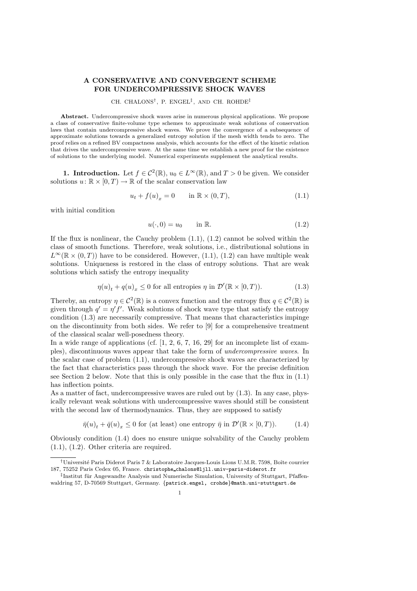# A CONSERVATIVE AND CONVERGENT SCHEME FOR UNDERCOMPRESSIVE SHOCK WAVES

#### CH. CHALONS† , P. ENGEL‡ , AND CH. ROHDE‡

Abstract. Undercompressive shock waves arise in numerous physical applications. We propose a class of conservative finite-volume type schemes to approximate weak solutions of conservation laws that contain undercompressive shock waves. We prove the convergence of a subsequence of approximate solutions towards a generalized entropy solution if the mesh width tends to zero. The proof relies on a refined BV compactness analysis, which accounts for the effect of the kinetic relation that drives the undercompressive wave. At the same time we establish a new proof for the existence of solutions to the underlying model. Numerical experiments supplement the analytical results.

**1. Introduction.** Let  $f \in C^2(\mathbb{R})$ ,  $u_0 \in L^{\infty}(\mathbb{R})$ , and  $T > 0$  be given. We consider solutions  $u: \mathbb{R} \times [0, T) \to \mathbb{R}$  of the scalar conservation law

$$
u_t + f(u)_x = 0 \qquad \text{in } \mathbb{R} \times (0, T), \tag{1.1}
$$

with initial condition

$$
u(\cdot,0) = u_0 \qquad \text{in } \mathbb{R}.\tag{1.2}
$$

If the flux is nonlinear, the Cauchy problem  $(1.1)$ ,  $(1.2)$  cannot be solved within the class of smooth functions. Therefore, weak solutions, i.e., distributional solutions in  $L^{\infty}(\mathbb{R} \times (0,T))$  have to be considered. However, (1.1), (1.2) can have multiple weak solutions. Uniqueness is restored in the class of entropy solutions. That are weak solutions which satisfy the entropy inequality

$$
\eta(u)_t + q(u)_x \le 0 \text{ for all entropies } \eta \text{ in } \mathcal{D}'(\mathbb{R} \times [0,T)). \tag{1.3}
$$

Thereby, an entropy  $\eta \in C^2(\mathbb{R})$  is a convex function and the entropy flux  $q \in C^2(\mathbb{R})$  is given through  $q' = \eta' f'$ . Weak solutions of shock wave type that satisfy the entropy condition (1.3) are necessarily compressive. That means that characteristics impinge on the discontinuity from both sides. We refer to [9] for a comprehensive treatment of the classical scalar well-posedness theory.

In a wide range of applications (cf. [1, 2, 6, 7, 16, 29] for an incomplete list of examples), discontinuous waves appear that take the form of *undercompressive waves*. In the scalar case of problem (1.1), undercompressive shock waves are characterized by the fact that characteristics pass through the shock wave. For the precise definition see Section 2 below. Note that this is only possible in the case that the flux in (1.1) has inflection points.

As a matter of fact, undercompressive waves are ruled out by (1.3). In any case, physically relevant weak solutions with undercompressive waves should still be consistent with the second law of thermodynamics. Thus, they are supposed to satisfy

$$
\bar{\eta}(u)_t + \bar{q}(u)_x \le 0
$$
 for (at least) one entropy  $\bar{\eta}$  in  $\mathcal{D}'(\mathbb{R} \times [0, T))$ . (1.4)

Obviously condition (1.4) does no ensure unique solvability of the Cauchy problem (1.1), (1.2). Other criteria are required.

<sup>†</sup>Universit´e Paris Diderot Paris 7 & Laboratoire Jacques-Louis Lions U.M.R. 7598, Boˆıte courrier 187, 75252 Paris Cedex 05, France. christophe chalons@ljll.univ-paris-diderot.fr

<sup>&</sup>lt;sup>‡</sup>Institut für Angewandte Analysis und Numerische Simulation, University of Stuttgart, Pfaffenwaldring 57, D-70569 Stuttgart, Germany. {patrick.engel, crohde}@math.uni-stuttgart.de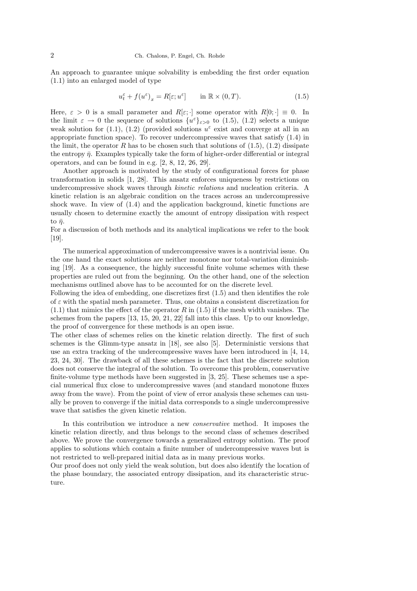An approach to guarantee unique solvability is embedding the first order equation (1.1) into an enlarged model of type

$$
u_t^{\varepsilon} + f(u^{\varepsilon})_x = R[\varepsilon; u^{\varepsilon}] \quad \text{in } \mathbb{R} \times (0, T). \tag{1.5}
$$

Here,  $\varepsilon > 0$  is a small parameter and  $R[\varepsilon;\cdot]$  some operator with  $R[0;\cdot] \equiv 0$ . In the limit  $\varepsilon \to 0$  the sequence of solutions  $\{u^{\varepsilon}\}_{\varepsilon>0}$  to (1.5), (1.2) selects a unique weak solution for (1.1), (1.2) (provided solutions  $u^{\varepsilon}$  exist and converge at all in an appropriate function space). To recover undercompressive waves that satisfy (1.4) in the limit, the operator R has to be chosen such that solutions of  $(1.5)$ ,  $(1.2)$  dissipate the entropy  $\bar{\eta}$ . Examples typically take the form of higher-order differential or integral operators, and can be found in e.g. [2, 8, 12, 26, 29].

Another approach is motivated by the study of configurational forces for phase transformation in solids [1, 28]. This ansatz enforces uniqueness by restrictions on undercompressive shock waves through *kinetic relations* and nucleation criteria. A kinetic relation is an algebraic condition on the traces across an undercompressive shock wave. In view of (1.4) and the application background, kinetic functions are usually chosen to determine exactly the amount of entropy dissipation with respect to  $\bar{n}$ .

For a discussion of both methods and its analytical implications we refer to the book [19].

The numerical approximation of undercompressive waves is a nontrivial issue. On the one hand the exact solutions are neither monotone nor total-variation diminishing [19]. As a consequence, the highly successful finite volume schemes with these properties are ruled out from the beginning. On the other hand, one of the selection mechanisms outlined above has to be accounted for on the discrete level.

Following the idea of embedding, one discretizes first (1.5) and then identifies the role of  $\varepsilon$  with the spatial mesh parameter. Thus, one obtains a consistent discretization for  $(1.1)$  that mimics the effect of the operator R in  $(1.5)$  if the mesh width vanishes. The schemes from the papers [13, 15, 20, 21, 22] fall into this class. Up to our knowledge, the proof of convergence for these methods is an open issue.

The other class of schemes relies on the kinetic relation directly. The first of such schemes is the Glimm-type ansatz in [18], see also [5]. Deterministic versions that use an extra tracking of the undercompressive waves have been introduced in [4, 14, 23, 24, 30]. The drawback of all these schemes is the fact that the discrete solution does not conserve the integral of the solution. To overcome this problem, conservative finite-volume type methods have been suggested in [3, 25]. These schemes use a special numerical flux close to undercompressive waves (and standard monotone fluxes away from the wave). From the point of view of error analysis these schemes can usually be proven to converge if the initial data corresponds to a single undercompressive wave that satisfies the given kinetic relation.

In this contribution we introduce a new *conservative* method. It imposes the kinetic relation directly, and thus belongs to the second class of schemes described above. We prove the convergence towards a generalized entropy solution. The proof applies to solutions which contain a finite number of undercompressive waves but is not restricted to well-prepared initial data as in many previous works.

Our proof does not only yield the weak solution, but does also identify the location of the phase boundary, the associated entropy dissipation, and its characteristic structure.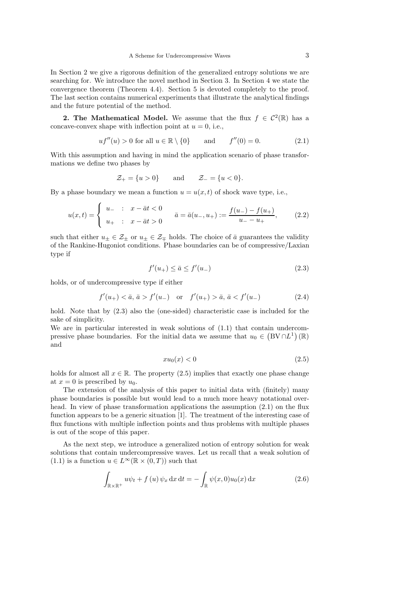In Section 2 we give a rigorous definition of the generalized entropy solutions we are searching for. We introduce the novel method in Section 3. In Section 4 we state the convergence theorem (Theorem 4.4). Section 5 is devoted completely to the proof. The last section contains numerical experiments that illustrate the analytical findings and the future potential of the method.

**2. The Mathematical Model.** We assume that the flux  $f \in C^2(\mathbb{R})$  has a concave-convex shape with inflection point at  $u = 0$ , i.e.,

$$
uf''(u) > 0
$$
 for all  $u \in \mathbb{R} \setminus \{0\}$  and  $f''(0) = 0.$  (2.1)

With this assumption and having in mind the application scenario of phase transformations we define two phases by

$$
\mathcal{Z}_+ = \{u > 0\} \qquad \text{and} \qquad \mathcal{Z}_- = \{u < 0\}.
$$

By a phase boundary we mean a function  $u = u(x, t)$  of shock wave type, i.e.,

$$
u(x,t) = \begin{cases} u_- & \text{: } x - \bar{a}t < 0 \\ u_+ & \text{: } x - \bar{a}t > 0 \end{cases} \qquad \bar{a} = \bar{a}(u_-, u_+) := \frac{f(u_-) - f(u_+)}{u_- - u_+},\tag{2.2}
$$

such that either  $u_{\pm} \in \mathcal{Z}_{\pm}$  or  $u_{\pm} \in \mathcal{Z}_{\mp}$  holds. The choice of  $\bar{a}$  guarantees the validity of the Rankine-Hugoniot conditions. Phase boundaries can be of compressive/Laxian type if

$$
f'(u_+) \le \bar{a} \le f'(u_-) \tag{2.3}
$$

holds, or of undercompressive type if either

$$
f'(u_+) < \bar{a}, \bar{a} > f'(u_-) \quad \text{or} \quad f'(u_+) > \bar{a}, \bar{a} < f'(u_-) \tag{2.4}
$$

hold. Note that by (2.3) also the (one-sided) characteristic case is included for the sake of simplicity.

We are in particular interested in weak solutions of (1.1) that contain undercompressive phase boundaries. For the initial data we assume that  $u_0 \in (BV \cap L^1)(\mathbb{R})$ and

$$
xu_0(x) < 0 \tag{2.5}
$$

holds for almost all  $x \in \mathbb{R}$ . The property (2.5) implies that exactly one phase change at  $x = 0$  is prescribed by  $u_0$ .

The extension of the analysis of this paper to initial data with (finitely) many phase boundaries is possible but would lead to a much more heavy notational overhead. In view of phase transformation applications the assumption (2.1) on the flux function appears to be a generic situation [1]. The treatment of the interesting case of flux functions with multiple inflection points and thus problems with multiple phases is out of the scope of this paper.

As the next step, we introduce a generalized notion of entropy solution for weak solutions that contain undercompressive waves. Let us recall that a weak solution of (1.1) is a function  $u \in L^{\infty}(\mathbb{R} \times (0,T))$  such that

$$
\int_{\mathbb{R}\times\mathbb{R}^+} u\psi_t + f(u)\,\psi_x\,\mathrm{d}x\,\mathrm{d}t = -\int_{\mathbb{R}} \psi(x,0)u_0(x)\,\mathrm{d}x\tag{2.6}
$$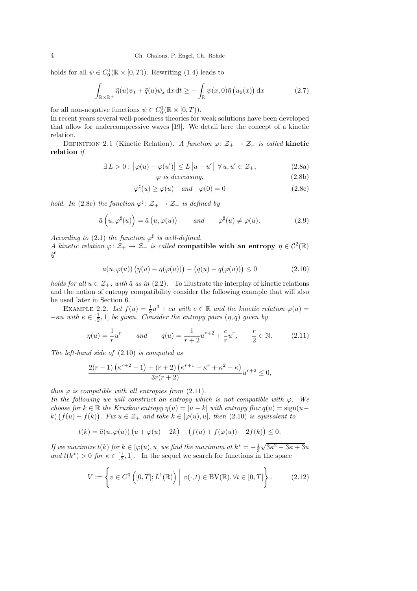holds for all  $\psi \in C_0^1(\mathbb{R} \times [0, T))$ . Rewriting (1.4) leads to

$$
\int_{\mathbb{R}\times\mathbb{R}^+} \bar{\eta}(u)\psi_t + \bar{q}(u)\psi_x \,dx \,dt \ge -\int_{\mathbb{R}} \psi(x,0)\bar{\eta}\left(u_0(x)\right) \,dx \tag{2.7}
$$

for all non-negative functions  $\psi \in C_0^1(\mathbb{R} \times [0, T)).$ 

In recent years several well-posedness theories for weak solutions have been developed that allow for undercompressive waves [19]. We detail here the concept of a kinetic relation.

DEFINITION 2.1 (Kinetic Relation). *A function*  $\varphi: \mathcal{Z}_+ \to \mathcal{Z}_-$  *is called* kinetic relation *if*

$$
\exists L > 0 : |\varphi(u) - \varphi(u')| \le L |u - u'| \quad \forall u, u' \in \mathcal{Z}_+,
$$
\n(2.8a)

$$
\varphi \ \text{is decreasing},\tag{2.8b}
$$

$$
\varphi^{\sharp}(u) \ge \varphi(u) \quad and \quad \varphi(0) = 0 \tag{2.8c}
$$

*hold.* In (2.8c) the function  $\varphi^{\sharp}$ :  $\mathcal{Z}_{+} \to \mathcal{Z}_{-}$  is defined by

$$
\bar{a}\left(u,\varphi^{\sharp}(u)\right) = \bar{a}\left(u,\varphi(u)\right) \qquad \text{and} \qquad \varphi^{\sharp}(u) \neq \varphi(u). \tag{2.9}
$$

*According to* (2.1) *the function*  $\varphi^{\sharp}$  *is well-defined.* 

*A kinetic relation*  $\varphi: \mathcal{Z}_+ \to \mathcal{Z}_-$  *is called* compatible with an entropy  $\bar{\eta} \in C^2(\mathbb{R})$ *if*

$$
\bar{a}(u,\varphi(u))\left(\bar{\eta}(u)-\bar{\eta}(\varphi(u))\right)-\left(\bar{q}(u)-\bar{q}(\varphi(u))\right)\leq 0\tag{2.10}
$$

*holds for all*  $u \in \mathcal{Z}_+$ *, with*  $\bar{a}$  *as in* (2.2). To illustrate the interplay of kinetic relations and the notion of entropy compatibility consider the following example that will also be used later in Section 6.

EXAMPLE 2.2. Let  $f(u) = \frac{1}{3}u^3 + cu$  with  $c \in \mathbb{R}$  and the kinetic relation  $\varphi(u) =$  $-\kappa u$  *with*  $\kappa \in \left[\frac{1}{2}, 1\right]$  *be given. Consider the entropy pairs*  $(\eta, q)$  *given by* 

$$
\eta(u) = \frac{1}{r}u^r \qquad and \qquad q(u) = \frac{1}{r+2}u^{r+2} + \frac{c}{r}u^r, \qquad \frac{r}{2} \in \mathbb{N}.
$$
 (2.11)

*The left-hand side of* (2.10) *is computed as*

$$
\frac{2(r-1)\left(\kappa^{r+2}-1\right)+(r+2)\left(\kappa^{r+1}-\kappa^{r}+\kappa^{2}-\kappa\right)}{3r(r+2)}u^{r+2} \leq 0,
$$

*thus*  $\varphi$  *is compatible with all entropies from* (2.11)*.* 

*In the following we will construct an entropy which is not compatible with*  $\varphi$ *. We choose for*  $k \in \mathbb{R}$  *the Kruzkov entropy*  $\eta(u) = |u - k|$  *with entropy*  $\text{flux } q(u) = \text{sign}(u - k)$  $(k)$   $(f(u) - f(k))$ . Fix  $u \in \mathcal{Z}_+$  and take  $k \in [\varphi(u), u]$ , then  $(2.10)$  is equivalent to

$$
t(k) = \bar{a}(u, \varphi(u)) (u + \varphi(u) - 2k) - (f(u) + f(\varphi(u)) - 2f(k)) \le 0.
$$

*If we maximize*  $t(k)$  *for*  $k \in [\varphi(u), u]$  *we find the maximum at*  $k^* = -\frac{1}{3}\sqrt{3\kappa^2 - 3\kappa + 3u}$ *and*  $t(k^*) > 0$  *for*  $\kappa \in [\frac{1}{2}, 1]$ . In the sequel we search for functions in the space

$$
V := \left\{ v \in C^{0} \left( [0, T]; L^{1}(\mathbb{R}) \right) \middle| v(\cdot, t) \in BV(\mathbb{R}), \forall t \in [0, T] \right\}.
$$
 (2.12)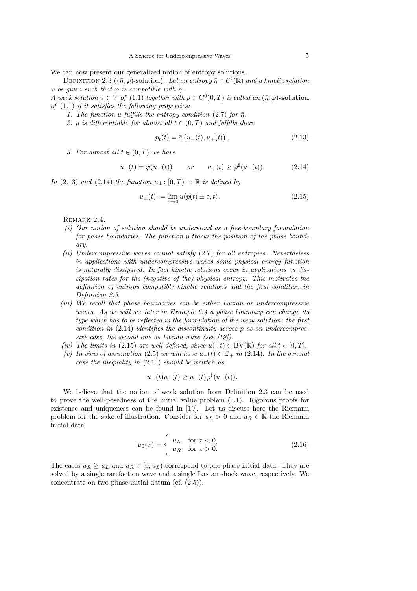We can now present our generalized notion of entropy solutions.

DEFINITION 2.3 ( $(\bar{\eta}, \varphi)$ -solution). Let an entropy  $\bar{\eta} \in C^2(\mathbb{R})$  and a kinetic relation  $\varphi$  *be given such that*  $\varphi$  *is compatible with*  $\bar{\eta}$ *.* 

*A* weak solution  $u \in V$  of  $(1.1)$  together with  $p \in C^0(0,T)$  is called an  $(\bar{\eta}, \varphi)$ -solution *of* (1.1) *if it satisfies the following properties:*

*1. The function u fulfills the entropy condition* (2.7) *for*  $\bar{\eta}$ *.* 

2. p *is differentiable for almost all*  $t \in (0, T)$  *and fulfills there* 

$$
p_t(t) = \bar{a} \left( u_-(t), u_+(t) \right). \tag{2.13}
$$

*3. For almost all*  $t \in (0, T)$  *we have* 

$$
u_+(t) = \varphi(u_-(t))
$$
 or  $u_+(t) \ge \varphi^{\sharp}(u_-(t)).$  (2.14)

*In* (2.13) *and* (2.14) *the function*  $u_{\pm}$ : [0, *T*]  $\rightarrow \mathbb{R}$  *is defined by* 

$$
u_{\pm}(t) := \lim_{\varepsilon \to 0} u(p(t) \pm \varepsilon, t). \tag{2.15}
$$

REMARK 2.4.

- *(i) Our notion of solution should be understood as a free-boundary formulation for phase boundaries. The function* p *tracks the position of the phase boundary.*
- *(ii) Undercompressive waves cannot satisfy* (2.7) *for all entropies. Nevertheless in applications with undercompressive waves some physical energy function is naturally dissipated. In fact kinetic relations occur in applications as dissipation rates for the (negative of the) physical entropy. This motivates the definition of entropy compatible kinetic relations and the first condition in Definition 2.3.*
- *(iii) We recall that phase boundaries can be either Laxian or undercompressive waves. As we will see later in Example 6.4 a phase boundary can change its type which has to be reflected in the formulation of the weak solution: the first condition in* (2.14) *identifies the discontinuity across* p *as an undercompressive case, the second one as Laxian wave (see [19]).*
- *(iv) The limits in* (2.15) *are well-defined, since*  $u(\cdot,t) \in BV(\mathbb{R})$  *for all*  $t \in [0,T]$ *.*
- *(v)* In view of assumption (2.5) we will have  $u_-(t) \in \mathcal{Z}_+$  in (2.14). In the general *case the inequality in* (2.14) *should be written as*

$$
u_-(t)u_+(t) \ge u_-(t)\varphi^{\sharp}(u_-(t)).
$$

We believe that the notion of weak solution from Definition 2.3 can be used to prove the well-posedness of the initial value problem (1.1). Rigorous proofs for existence and uniqueness can be found in [19]. Let us discuss here the Riemann problem for the sake of illustration. Consider for  $u_L > 0$  and  $u_R \in \mathbb{R}$  the Riemann initial data

$$
u_0(x) = \begin{cases} u_L & \text{for } x < 0, \\ u_R & \text{for } x > 0. \end{cases}
$$
 (2.16)

The cases  $u_R \geq u_L$  and  $u_R \in [0, u_L)$  correspond to one-phase initial data. They are solved by a single rarefaction wave and a single Laxian shock wave, respectively. We concentrate on two-phase initial datum (cf. (2.5)).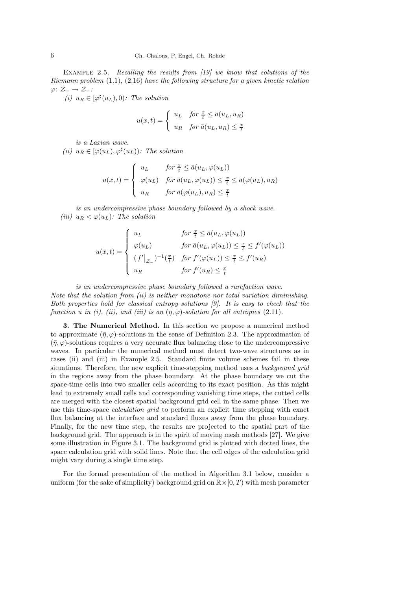Example 2.5. *Recalling the results from [19] we know that solutions of the Riemann problem* (1.1)*,* (2.16) *have the following structure for a given kinetic relation* ϕ: Z<sup>+</sup> → Z−*:*

 $(i)$   $u_R \in [\varphi^\sharp(u_L), 0)$ *: The solution* 

$$
u(x,t) = \begin{cases} u_L & \text{for } \frac{x}{t} \le \bar{a}(u_L, u_R) \\ u_R & \text{for } \bar{a}(u_L, u_R) \le \frac{x}{t} \end{cases}
$$

*is a Laxian wave.*

 $(iii)$   $u_R \in [\varphi(u_L), \varphi^{\sharp}(u_L))$ *: The solution* 

$$
u(x,t) = \begin{cases} u_L & \text{for } \frac{x}{t} \le \bar{a}(u_L, \varphi(u_L)) \\ \varphi(u_L) & \text{for } \bar{a}(u_L, \varphi(u_L)) \le \frac{x}{t} \le \bar{a}(\varphi(u_L), u_R) \\ u_R & \text{for } \bar{a}(\varphi(u_L), u_R) \le \frac{x}{t} \end{cases}
$$

*is an undercompressive phase boundary followed by a shock wave. (iii)*  $u_R < \varphi(u_L)$ *:* The solution

$$
u(x,t) = \begin{cases} u_L & \text{for } \frac{x}{t} \le \bar{a}(u_L, \varphi(u_L)) \\ \varphi(u_L) & \text{for } \bar{a}(u_L, \varphi(u_L)) \le \frac{x}{t} \le f'(\varphi(u_L)) \\ (f'|_{Z-})^{-1}(\frac{x}{t}) & \text{for } f'(\varphi(u_L)) \le \frac{x}{t} \le f'(u_R) \\ u_R & \text{for } f'(u_R) \le \frac{x}{t} \end{cases}
$$

*is an undercompressive phase boundary followed a rarefaction wave.*

*Note that the solution from (ii) is neither monotone nor total variation diminishing. Both properties hold for classical entropy solutions [9]. It is easy to check that the function u in* (*i*), (*ii*), and (*iii*) *is an*  $(\eta, \varphi)$ *-solution for all entropies* (2.11)*.* 

3. The Numerical Method. In this section we propose a numerical method to approximate  $(\bar{\eta}, \varphi)$ -solutions in the sense of Definition 2.3. The approximation of  $(\bar{n}, \varphi)$ -solutions requires a very accurate flux balancing close to the undercompressive waves. In particular the numerical method must detect two-wave structures as in cases (ii) and (iii) in Example 2.5. Standard finite volume schemes fail in these situations. Therefore, the new explicit time-stepping method uses a *background grid* in the regions away from the phase boundary. At the phase boundary we cut the space-time cells into two smaller cells according to its exact position. As this might lead to extremely small cells and corresponding vanishing time steps, the cutted cells are merged with the closest spatial background grid cell in the same phase. Then we use this time-space *calculation grid* to perform an explicit time stepping with exact flux balancing at the interface and standard fluxes away from the phase boundary. Finally, for the new time step, the results are projected to the spatial part of the background grid. The approach is in the spirit of moving mesh methods [27]. We give some illustration in Figure 3.1. The background grid is plotted with dotted lines, the space calculation grid with solid lines. Note that the cell edges of the calculation grid might vary during a single time step.

For the formal presentation of the method in Algorithm 3.1 below, consider a uniform (for the sake of simplicity) background grid on  $\mathbb{R}\times[0,T)$  with mesh parameter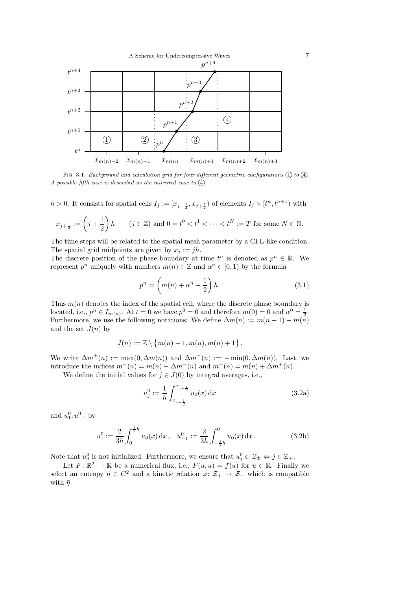

FIG. 3.1. *Background and calculation grid for four different geometric configurations*  $(1)$  to  $(4)$ *. A possible fifth case is described as the mirrored case to*  $\overline{4}$ *.* 

 $h > 0$ . It consists for spatial cells  $I_j := [x_{j-\frac{1}{2}}, x_{j+\frac{1}{2}}]$  of elements  $I_j \times [t^n, t^{n+1})$  with

$$
x_{j+\frac{1}{2}} := \left(j + \frac{1}{2}\right)h \qquad (j \in \mathbb{Z}) \text{ and } 0 = t^0 < t^1 < \dots < t^N := T \text{ for some } N \in \mathbb{N}.
$$

The time steps will be related to the spatial mesh parameter by a CFL-like condition. The spatial grid midpoints are given by  $x_i := jh$ .

The discrete position of the phase boundary at time  $t^n$  is denoted as  $p^n \in \mathbb{R}$ . We represent  $p^n$  uniquely with numbers  $m(n) \in \mathbb{Z}$  and  $\alpha^n \in [0,1)$  by the formula

$$
p^n = \left(m(n) + \alpha^n - \frac{1}{2}\right)h.\tag{3.1}
$$

Thus  $m(n)$  denotes the index of the spatial cell, where the discrete phase boundary is located, i.e.,  $p^n \in I_{m(n)}$ . At  $t=0$  we have  $p^0=0$  and therefore  $m(0)=0$  and  $\alpha^0=\frac{1}{2}$ . Furthermore, we use the following notations: We define  $\Delta m(n) := m(n+1) - m(n)$ and the set  $J(n)$  by

$$
J(n) := \mathbb{Z} \setminus \{m(n) - 1, m(n), m(n) + 1\}.
$$

We write  $\Delta m^+(n) := \max(0, \Delta m(n))$  and  $\Delta m^-(n) := -\min(0, \Delta m(n))$ . Last, we introduce the indices  $m^-(n) = m(n) - \Delta m^-(n)$  and  $m^+(n) = m(n) + \Delta m^+(n)$ .

We define the initial values for  $j \in J(0)$  by integral averages, i.e.,

$$
u_j^0 := \frac{1}{h} \int_{x_{j-\frac{1}{2}}}^{x_{j+\frac{1}{2}}} u_0(x) \, \mathrm{d}x \tag{3.2a}
$$

and  $u_1^0, u_{-1}^0$  by

$$
u_1^0 := \frac{2}{3h} \int_0^{\frac{3}{2}h} u_0(x) dx, \quad u_{-1}^0 := \frac{2}{3h} \int_{-\frac{3}{2}h}^0 u_0(x) dx.
$$
 (3.2b)

Note that  $u_0^0$  is not initialized. Furthermore, we ensure that  $u_j^0 \in \mathcal{Z}_\pm \Leftrightarrow j \in \mathbb{Z}_\mp$ .

Let  $F: \mathbb{R}^2 \to \mathbb{R}$  be a numerical flux, i.e.,  $F(u, u) = f(u)$  for  $u \in \mathbb{R}$ . Finally we select an entropy  $\bar{\eta} \in C^2$  and a kinetic relation  $\varphi: \mathcal{Z}_+ \to \mathcal{Z}_-$  which is compatible with  $\bar{\eta}$ .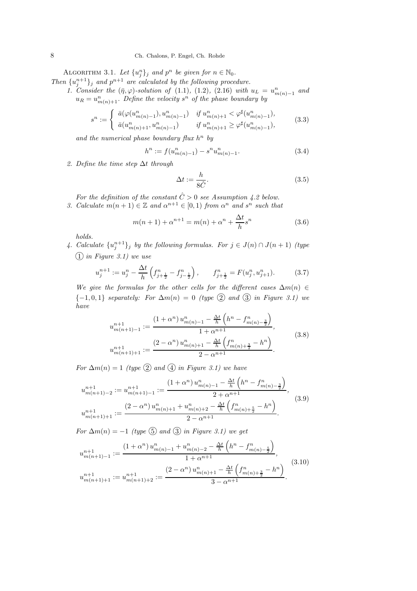ALGORITHM 3.1. Let  $\{u_j^n\}_j$  and  $p^n$  be given for  $n \in \mathbb{N}_0$ . j

- *Then*  $\{u_j^{n+1}\}_j$  *and*  $p^{n+1}$  *are calculated by the following procedure.* 
	- *1. Consider the*  $(\bar{\eta}, \varphi)$ -solution of (1.1), (1.2), (2.16) with  $u_L = u_{m(n)-1}^n$  and  $u_R = u_{m(n)+1}^n$ . Define the velocity  $s^n$  of the phase boundary by

$$
s^n := \begin{cases} \bar{a}(\varphi(u^n_{m(n)-1}), u^n_{m(n)-1}) & \text{if } u^n_{m(n)+1} < \varphi^\sharp(u^n_{m(n)-1}), \\ \bar{a}(u^n_{m(n)+1}, u^n_{m(n)-1}) & \text{if } u^n_{m(n)+1} \ge \varphi^\sharp(u^n_{m(n)-1}), \end{cases} \tag{3.3}
$$

and the numerical phase boundary flux  $h^n$  by

$$
h^n := f(u^n_{m(n)-1}) - s^n u^n_{m(n)-1}.
$$
\n(3.4)

*2. Define the time step* ∆t *through*

$$
\Delta t := \frac{h}{8\hat{C}}.\tag{3.5}
$$

*For the definition of the constant*  $\hat{C} > 0$  *see Assumption 4.2 below. 3. Calculate*  $m(n+1) \in \mathbb{Z}$  *and*  $\alpha^{n+1} \in [0,1)$  *from*  $\alpha^n$  *and*  $s^n$  *such that* 

$$
m(n+1) + \alpha^{n+1} = m(n) + \alpha^n + \frac{\Delta t}{h} s^n
$$
\n(3.6)

*holds.*

4. Calculate  $\{u_j^{n+1}\}_j$  by the following formulas. For  $j \in J(n) \cap J(n+1)$  *(type* 1❥*in Figure 3.1) we use*

$$
u_j^{n+1} := u_j^n - \frac{\Delta t}{h} \left( f_{j+\frac{1}{2}}^n - f_{j-\frac{1}{2}}^n \right), \qquad f_{j+\frac{1}{2}}^n = F(u_j^n, u_{j+1}^n). \tag{3.7}
$$

*We give the formulas for the other cells for the different cases*  $\Delta m(n) \in$  ${-1, 0, 1}$  *separately: For*  $\Delta m(n) = 0$  *(type* 2) and 3 *in Figure 3.1)* we *have*

$$
u_{m(n+1)-1}^{n+1} := \frac{\left(1+\alpha^{n}\right)u_{m(n)-1}^{n}-\frac{\Delta t}{h}\left(h^{n}-f_{m(n)-\frac{3}{2}}^{n}\right)}{1+\alpha^{n+1}},
$$
  

$$
u_{m(n+1)+1}^{n+1} := \frac{\left(2-\alpha^{n}\right)u_{m(n)+1}^{n}-\frac{\Delta t}{h}\left(f_{m(n)+\frac{3}{2}}^{n}-h^{n}\right)}{2-\alpha^{n+1}}.
$$
\n(3.8)

*For*  $\Delta m(n) = 1$  *(type* 2) and  $\overline{4}$  *in Figure 3.1)* we have

$$
u_{m(n+1)-2}^{n+1} := u_{m(n+1)-1}^{n+1} := \frac{\left(1+\alpha^{n}\right)u_{m(n)-1}^{n} - \frac{\Delta t}{h}\left(h^{n} - f_{m(n)-\frac{3}{2}}^{n}\right)}{2+\alpha^{n+1}},
$$
  
\n
$$
u_{m(n+1)+1}^{n+1} := \frac{\left(2-\alpha^{n}\right)u_{m(n)+1}^{n} + u_{m(n)+2}^{n} - \frac{\Delta t}{h}\left(f_{m(n)+\frac{5}{2}}^{n} - h^{n}\right)}{2-\alpha^{n+1}}.
$$
\n(3.9)

*For*  $\Delta m(n) = -1$  *(type*  $\textcircled{5}$  *and*  $\textcircled{3}$  *in Figure 3.1)* we get

$$
u_{m(n+1)-1}^{n+1} := \frac{\left(1+\alpha^{n}\right)u_{m(n)-1}^{n} + u_{m(n)-2}^{n} - \frac{\Delta t}{h}\left(h^{n} - f_{m(n)-\frac{5}{2}}^{n}\right)}{1+\alpha^{n+1}},
$$
  

$$
u_{m(n+1)+1}^{n+1} := u_{m(n+1)+2}^{n+1} := \frac{\left(2-\alpha^{n}\right)u_{m(n)+1}^{n} - \frac{\Delta t}{h}\left(f_{m(n)+\frac{3}{2}}^{n} - h^{n}\right)}{3-\alpha^{n+1}}.
$$
\n
$$
(3.10)
$$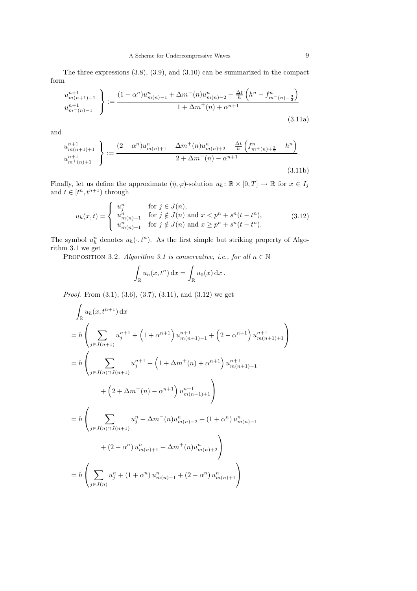The three expressions (3.8), (3.9), and (3.10) can be summarized in the compact form

$$
\begin{aligned}\n u_{m(n+1)-1}^{n+1} \\
 u_{m^-(n)-1}^{n+1} \n \end{aligned}\n \bigg\} := \frac{(1+\alpha^n)u_{m(n)-1}^n + \Delta m^-(n)u_{m(n)-2}^n - \frac{\Delta t}{h} \left( h^n - f_{m^-(n)-\frac{3}{2}}^n \right)}{1 + \Delta m^+(n) + \alpha^{n+1}}
$$
\n(3.11a)

and

$$
\begin{aligned}\n u_{m(n+1)+1}^{n+1} \\
 u_{m^+(n)+1}^{n+1} \n \end{aligned}\n \bigg\} := \frac{(2 - \alpha^n) u_{m(n)+1}^n + \Delta m^+(n) u_{m(n)+2}^n - \frac{\Delta t}{h} \left( f_{m^+(n)+\frac{3}{2}}^n - h^n \right)}{2 + \Delta m^-(n) - \alpha^{n+1}}.
$$
\n(3.11b)

Finally, let us define the approximate  $(\bar{\eta}, \varphi)$ -solution  $u_h : \mathbb{R} \times [0, T] \to \mathbb{R}$  for  $x \in I_j$ and  $t \in [t^n, t^{n+1})$  through

$$
u_h(x,t) = \begin{cases} u_j^n & \text{for } j \in J(n), \\ u_{m(n)-1}^n & \text{for } j \notin J(n) \text{ and } x < p^n + s^n(t - t^n), \\ u_{m(n)+1}^n & \text{for } j \notin J(n) \text{ and } x \ge p^n + s^n(t - t^n). \end{cases}
$$
(3.12)

The symbol  $u_h^n$  denotes  $u_h(\cdot, t^n)$ . As the first simple but striking property of Algorithm 3.1 we get

PROPOSITION 3.2. *Algorithm 3.1 is conservative, i.e., for all*  $n \in \mathbb{N}$ 

$$
\int_{\mathbb{R}} u_h(x, t^n) dx = \int_{\mathbb{R}} u_0(x) dx.
$$

*Proof.* From  $(3.1)$ ,  $(3.6)$ ,  $(3.7)$ ,  $(3.11)$ , and  $(3.12)$  we get

$$
\int_{\mathbb{R}} u_h(x, t^{n+1}) dx
$$
\n
$$
= h \left( \sum_{j \in J(n+1)} u_j^{n+1} + \left( 1 + \alpha^{n+1} \right) u_{m(n+1)-1}^{n+1} + \left( 2 - \alpha^{n+1} \right) u_{m(n+1)+1}^{n+1} \right)
$$
\n
$$
= h \left( \sum_{j \in J(n) \cap J(n+1)} u_j^{n+1} + \left( 1 + \Delta m^+(n) + \alpha^{n+1} \right) u_{m(n+1)-1}^{n+1} + \left( 2 + \Delta m^-(n) - \alpha^{n+1} \right) u_{m(n+1)+1}^{n+1} \right)
$$
\n
$$
+ \left( 2 + \Delta m^-(n) - \alpha^{n+1} \right) u_{m(n+1)+1}^{n+1} \right)
$$
\n
$$
= h \left( \sum_{j \in J(n) \cap J(n+1)} u_j^{n} + \Delta m^-(n) u_{m(n)-2}^{n} + \left( 1 + \alpha^n \right) u_{m(n)-1}^{n} + \left( 2 - \alpha^n \right) u_{m(n)+1}^{n} + \Delta m^+(n) u_{m(n)+2}^{n} \right)
$$
\n
$$
= h \left( \sum_{j \in J(n)} u_j^{n} + \left( 1 + \alpha^n \right) u_{m(n)-1}^{n} + \left( 2 - \alpha^n \right) u_{m(n)+1}^{n} \right)
$$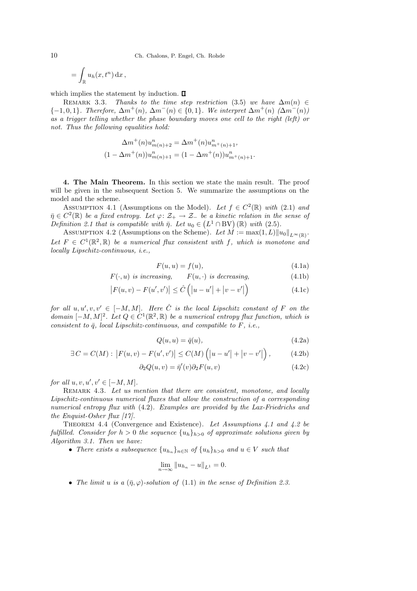$$
= \int_{\mathbb{R}} u_h(x, t^n) \, \mathrm{d}x \,,
$$

which implies the statement by induction.  $\Box$ 

REMARK 3.3. *Thanks to the time step restriction* (3.5) *we have*  $\Delta m(n) \in$  ${-1, 0, 1}$ *. Therefore,*  $\Delta m^+(n)$ ,  $\Delta m^-(n) \in \{0, 1\}$ *. We interpret*  $\Delta m^+(n)$   $(\Delta m^-(n))$ *as a trigger telling whether the phase boundary moves one cell to the right (left) or not. Thus the following equalities hold:*

$$
\Delta m^+(n)u_{m(n)+2}^n = \Delta m^+(n)u_{m^+(n)+1}^n,
$$
  

$$
(1 - \Delta m^+(n))u_{m(n)+1}^n = (1 - \Delta m^+(n))u_{m^+(n)+1}^n.
$$

4. The Main Theorem. In this section we state the main result. The proof will be given in the subsequent Section 5. We summarize the assumptions on the model and the scheme.

ASSUMPTION 4.1 (Assumptions on the Model). Let  $f \in C^2(\mathbb{R})$  with (2.1) and  $\overline{\eta} \in C^2(\mathbb{R})$  *be a fixed entropy. Let*  $\varphi \colon \mathcal{Z}_+ \to \mathcal{Z}_-$  *be a kinetic relation in the sense of Definition 2.1 that is compatible with*  $\bar{\eta}$ *. Let*  $u_0 \in (L^1 \cap BV)$  ( $\mathbb{R}$ ) *with* (2.5)*.* 

ASSUMPTION 4.2 (Assumptions on the Scheme). Let  $M := \max(1, L) ||u_0||_{L^{\infty}(\mathbb{R})}$ . Let  $F \in C^1(\mathbb{R}^2, \mathbb{R})$  be a numerical flux consistent with f, which is monotone and *locally Lipschitz-continuous, i.e.,*

$$
F(u, u) = f(u),\tag{4.1a}
$$

$$
F(\cdot, u)
$$
 is increasing,  $F(u, \cdot)$  is decreasing, (4.1b)

$$
|F(u, v) - F(u', v')| \leq \hat{C} (|u - u'| + |v - v'|)
$$
\n(4.1c)

 $for \ all \ u, u', v, v' \in [-M, M]$ . Here  $\hat{C}$  *is the local Lipschitz constant of* F *on the domain*  $[-M, M]^2$ . Let  $Q \in C^1(\mathbb{R}^2, \mathbb{R})$  be a numerical entropy flux function, which is *consistent to*  $\bar{q}$ *, local Lipschitz-continuous, and compatible to*  $F$ *, i.e.,* 

$$
Q(u, u) = \bar{q}(u),\tag{4.2a}
$$

$$
\exists C = C(M) : |F(u, v) - F(u', v')| \le C(M) (|u - u'| + |v - v'|), \tag{4.2b}
$$

$$
\partial_2 Q(u, v) = \overline{\eta}'(v) \partial_2 F(u, v) \tag{4.2c}
$$

*for all*  $u, v, u', v' \in [-M, M]$ *.* 

REMARK 4.3. Let us mention that there are consistent, monotone, and locally *Lipschitz-continuous numerical fluxes that allow the construction of a corresponding numerical entropy flux with* (4.2)*. Examples are provided by the Lax-Friedrichs and the Enquist-Osher flux [17].*

Theorem 4.4 (Convergence and Existence). *Let Assumptions 4.1 and 4.2 be fulfilled. Consider for*  $h > 0$  *the sequence*  $\{u_h\}_{h>0}$  *of approximate solutions given by Algorithm 3.1. Then we have:*

• *There exists a subsequence*  $\{u_{h_n}\}_{n\in\mathbb{N}}$  *of*  $\{u_h\}_{h>0}$  *and*  $u \in V$  *such that* 

$$
\lim_{n\to\infty}||u_{h_n}-u||_{L^1}=0.
$$

• *The limit u is a*  $(\bar{\eta}, \varphi)$ -solution of (1.1) *in the sense of Definition 2.3.*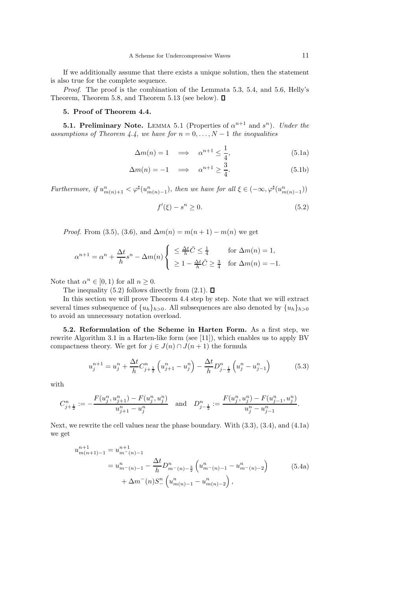If we additionally assume that there exists a unique solution, then the statement is also true for the complete sequence.

*Proof*. The proof is the combination of the Lemmata 5.3, 5.4, and 5.6, Helly's Theorem, Theorem 5.8, and Theorem 5.13 (see below).  $\square$ 

## 5. Proof of Theorem 4.4.

**5.1. Preliminary Note.** LEMMA 5.1 (Properties of  $\alpha^{n+1}$  and  $s^n$ ). *Under the assumptions of Theorem 4.4, we have for*  $n = 0, \ldots, N - 1$  *the inequalities* 

$$
\Delta m(n) = 1 \quad \Longrightarrow \quad \alpha^{n+1} \le \frac{1}{4}, \tag{5.1a}
$$

$$
\Delta m(n) = -1 \quad \Longrightarrow \quad \alpha^{n+1} \ge \frac{3}{4}.\tag{5.1b}
$$

*Furthermore, if*  $u_{m(n)+1}^n < \varphi^{\sharp}(u_{m(n)-1}^n)$ *, then we have for all*  $\xi \in (-\infty, \varphi^{\sharp}(u_{m(n)-1}^n))$ 

$$
f'(\xi) - s^n \ge 0. \tag{5.2}
$$

*Proof.* From (3.5), (3.6), and  $\Delta m(n) = m(n+1) - m(n)$  we get

$$
\alpha^{n+1} = \alpha^n + \frac{\Delta t}{h} s^n - \Delta m(n) \begin{cases} \leq \frac{\Delta t}{h} \hat{C} \leq \frac{1}{4} & \text{for } \Delta m(n) = 1, \\ \geq 1 - \frac{\Delta t}{h} \hat{C} \geq \frac{3}{4} & \text{for } \Delta m(n) = -1. \end{cases}
$$

Note that  $\alpha^n \in [0,1)$  for all  $n \geq 0$ .

The inequality (5.2) follows directly from (2.1).  $\square$ 

In this section we will prove Theorem 4.4 step by step. Note that we will extract several times subsequence of  $\{u_h\}_{h>0}$ . All subsequences are also denoted by  $\{u_h\}_{h>0}$ to avoid an unnecessary notation overload.

5.2. Reformulation of the Scheme in Harten Form. As a first step, we rewrite Algorithm 3.1 in a Harten-like form (see [11]), which enables us to apply BV compactness theory. We get for  $j \in J(n) \cap J(n+1)$  the formula

$$
u_j^{n+1} = u_j^n + \frac{\Delta t}{h} C_{j+\frac{1}{2}}^n \left( u_{j+1}^n - u_j^n \right) - \frac{\Delta t}{h} D_{j-\frac{1}{2}}^n \left( u_j^n - u_{j-1}^n \right) \tag{5.3}
$$

with

$$
C_{j+\frac{1}{2}}^n:=-\frac{F(u_j^n,u_{j+1}^n)-F(u_j^n,u_j^n)}{u_{j+1}^n-u_j^n} \text{ and } D_{j-\frac{1}{2}}^n:=\frac{F(u_j^n,u_j^n)-F(u_{j-1}^n,u_j^n)}{u_j^n-u_{j-1}^n}.
$$

Next, we rewrite the cell values near the phase boundary. With (3.3), (3.4), and (4.1a) we get

$$
u_{m(n+1)-1}^{n+1} = u_{m-(n)-1}^{n+1}
$$
  
=  $u_{m-(n)-1}^{n} - \frac{\Delta t}{h} D_{m-(n)-\frac{3}{2}}^{n} \left( u_{m-(n)-1}^{n} - u_{m-(n)-2}^{n} \right)$  (5.4a)  
+  $\Delta m^{-}(n) S_{-}^{n} \left( u_{m(n)-1}^{n} - u_{m(n)-2}^{n} \right)$ ,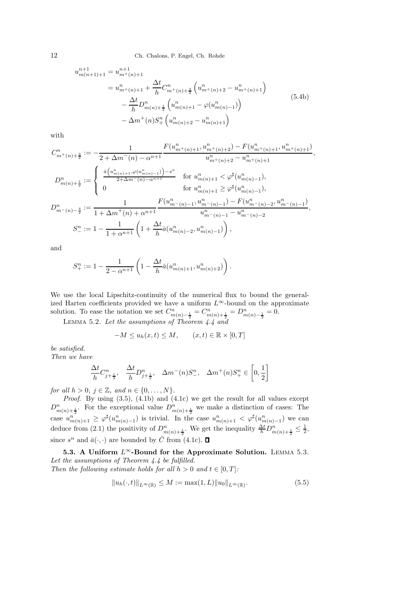12 Ch. Chalons, P. Engel, Ch. Rohde

$$
u_{m(n+1)+1}^{n+1} = u_{m+(n)+1}^{n+1}
$$
  
\n
$$
= u_{m+(n)+1}^{n} + \frac{\Delta t}{h} C_{m+(n)+\frac{3}{2}}^{n} \left( u_{m+(n)+2}^{n} - u_{m+(n)+1}^{n} \right)
$$
  
\n
$$
- \frac{\Delta t}{h} D_{m(n)+\frac{1}{2}}^{n} \left( u_{m(n)+1}^{n} - \varphi(u_{m(n)-1}^{n}) \right)
$$
  
\n
$$
- \Delta m^{+}(n) S_{+}^{n} \left( u_{m(n)+2}^{n} - u_{m(n)+1}^{n} \right)
$$
\n(5.4b)

with

$$
C_{m^{+}(n)+\frac{3}{2}}^{n} := -\frac{1}{2 + \Delta m^{-}(n) - \alpha^{n+1}} \frac{F(u_{m^{+}(n)+1}^{n}, u_{m^{+}(n)+2}^{n}) - F(u_{m^{+}(n)+1}^{n}, u_{m^{+}(n)+1}^{n})}{u_{m^{+}(n)+2}^{n} - u_{m^{+}(n)+1}^{n}},
$$
  
\n
$$
D_{m(n)+\frac{1}{2}}^{n} := \begin{cases} \frac{\bar{a}(u_{m(n)+1}^{n}, \varphi(u_{m(n)-1}^{n})) - s^{n}}{2 + \Delta m^{-}(n) - \alpha^{n+1}} & \text{for } u_{m(n)+1}^{n} < \varphi^{\sharp}(u_{m(n)-1}^{n}), \\ 0 & \text{for } u_{m(n)+1}^{n} \ge \varphi^{\sharp}(u_{m(n)-1}^{n}), \end{cases}
$$
  
\n
$$
D_{m^{-}(n)-\frac{3}{2}}^{n} := \frac{1}{1 + \Delta m^{+}(n) + \alpha^{n+1}} \frac{F(u_{m^{+}(n)-1}^{n}, u_{m^{+}(n)-1}^{n}) - F(u_{m^{+}(n)-2}^{n}, u_{m^{+}(n)-1}^{n})}{u_{m^{+}(n)-1}^{n} - u_{m^{+}(n)-2}^{n}},
$$
  
\n
$$
S_{-}^{n} := 1 - \frac{1}{1 + \alpha^{n+1}} \left(1 + \frac{\Delta t}{h} \bar{a}(u_{m(n)-2}^{n}, u_{m(n)-1}^{n})\right),
$$

and

$$
S_{+}^{n} := 1 - \frac{1}{2 - \alpha^{n+1}} \left( 1 - \frac{\Delta t}{h} \bar{a}(u_{m(n)+1}^{n}, u_{m(n)+2}^{n}) \right).
$$

We use the local Lipschitz-continuity of the numerical flux to bound the generalized Harten coefficients provided we have a uniform  $L^{\infty}$ -bound on the approximate solution. To ease the notation we set  $C_{m(n)-\frac{1}{2}}^n = C_{m(n)+\frac{1}{2}}^n = D_{m(n)-\frac{1}{2}}^n = 0$ .

Lemma 5.2. *Let the assumptions of Theorem 4.4 and*

$$
-M \le u_h(x,t) \le M, \qquad (x,t) \in \mathbb{R} \times [0,T]
$$

*be satisfied. Then we have*

$$
n \in \textit{wave}
$$

$$
\frac{\Delta t}{h}C_{j+\frac{1}{2}}^{n}, \quad \frac{\Delta t}{h}D_{j+\frac{1}{2}}^{n}, \quad \Delta m^{-}(n)S_{-}^{n}, \quad \Delta m^{+}(n)S_{+}^{n} \in \left[0, \frac{1}{2}\right]
$$

*for all*  $h > 0$ *,*  $j \in \mathbb{Z}$ *, and*  $n \in \{0, ..., N\}$ *.* 

*Proof.* By using  $(3.5)$ ,  $(4.1b)$  and  $(4.1c)$  we get the result for all values except  $D_{m(n)+\frac{1}{2}}^n$ . For the exceptional value  $D_{m(n)+\frac{1}{2}}^n$  we make a distinction of cases: The case  $u_{m(n)+1}^n \geq \varphi^{\sharp}(u_{m(n)-1}^n)$  is trivial. In the case  $u_{m(n)+1}^n < \varphi^{\sharp}(u_{m(n)-1}^n)$  we can deduce from (2.1) the positivity of  $D_{m(n)+\frac{1}{2}}^n$ . We get the inequality  $\frac{\Delta t}{h}D_{m(n)+\frac{1}{2}}^n \leq \frac{1}{2}$ , since  $s^n$  and  $\bar{a}(\cdot, \cdot)$  are bounded by  $\hat{C}$  from (4.1c).

5.3. A Uniform  $L^{\infty}$ -Bound for the Approximate Solution. LEMMA 5.3. *Let the assumptions of Theorem 4.4 be fulfilled. Then the following estimate holds for all*  $h > 0$  *and*  $t \in [0, T]$ *:* 

$$
||u_h(\cdot, t)||_{L^{\infty}(\mathbb{R})} \le M := \max(1, L) ||u_0||_{L^{\infty}(\mathbb{R})}.
$$
\n(5.5)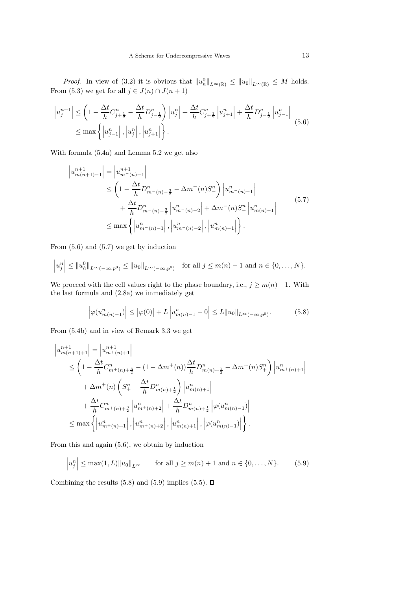*Proof.* In view of (3.2) it is obvious that  $||u_h^0||_{L^{\infty}(\mathbb{R})} \le ||u_0||_{L^{\infty}(\mathbb{R})} \le M$  holds. From (5.3) we get for all  $j \in J(n) \cap J(n+1)$ 

$$
\left| u_j^{n+1} \right| \leq \left( 1 - \frac{\Delta t}{h} C_{j+\frac{1}{2}}^n - \frac{\Delta t}{h} D_{j-\frac{1}{2}}^n \right) \left| u_j^n \right| + \frac{\Delta t}{h} C_{j+\frac{1}{2}}^n \left| u_{j+1}^n \right| + \frac{\Delta t}{h} D_{j-\frac{1}{2}}^n \left| u_{j-1}^n \right|
$$
\n
$$
\leq \max \left\{ \left| u_{j-1}^n \right|, \left| u_j^n \right|, \left| u_{j+1}^n \right| \right\}.
$$
\n(5.6)

With formula (5.4a) and Lemma 5.2 we get also

$$
\begin{split} \left| u_{m(n+1)-1}^{n+1} \right| &= \left| u_{m^-(n)-1}^{n+1} \right| \\ &\le \left( 1 - \frac{\Delta t}{h} D_{m^-(n)-\frac{3}{2}}^n - \Delta m^-(n) S_-^n \right) \left| u_{m^-(n)-1}^n \right| \\ &\quad + \frac{\Delta t}{h} D_{m^-(n)-\frac{3}{2}}^n \left| u_{m^-(n)-2}^n \right| + \Delta m^-(n) S_-^n \left| u_{m(n)-1}^n \right| \\ &\le \max \left\{ \left| u_{m^-(n)-1}^n \right|, \left| u_{m^-(n)-2}^n \right|, \left| u_{m(n)-1}^n \right| \right\}. \end{split} \tag{5.7}
$$

From (5.6) and (5.7) we get by induction

$$
|u_j^n| \le ||u_h^0||_{L^{\infty}(-\infty,p^0)} \le ||u_0||_{L^{\infty}(-\infty,p^0)}
$$
 for all  $j \le m(n)-1$  and  $n \in \{0,\ldots,N\}$ .

We proceed with the cell values right to the phase boundary, i.e.,  $j \geq m(n) + 1$ . With the last formula and (2.8a) we immediately get

$$
\left|\varphi(u_{m(n)-1}^{n})\right| \leq \left|\varphi(0)\right| + L\left|u_{m(n)-1}^{n} - 0\right| \leq L\|u_{0}\|_{L^{\infty}(-\infty,p^{0})}.
$$
\n(5.8)

From (5.4b) and in view of Remark 3.3 we get

$$
\begin{split}\n\left|u_{m(n+1)+1}^{n+1}\right| &= \left|u_{m^+(n)+1}^{n+1}\right| \\
&\leq \left(1 - \frac{\Delta t}{h}C_{m^+(n)+\frac{3}{2}}^n - (1 - \Delta m^+(n))\frac{\Delta t}{h}D_{m(n)+\frac{1}{2}}^n - \Delta m^+(n)S_+^n\right)\left|u_{m^+(n)+1}^n\right| \\
&\quad + \Delta m^+(n)\left(S_+^n - \frac{\Delta t}{h}D_{m(n)+\frac{1}{2}}^n\right)\left|u_{m(n)+1}^n\right| \\
&\quad + \frac{\Delta t}{h}C_{m^+(n)+\frac{3}{2}}^n\left|u_{m^+(n)+2}^n\right| + \frac{\Delta t}{h}D_{m(n)+\frac{1}{2}}^n\left|\varphi(u_{m(n)-1}^n)\right| \\
&\leq \max\left\{\left|u_{m^+(n)+1}^n\right|,\left|u_{m^+(n)+2}^n\right|,\left|u_{m(n)+1}^n\right|,\left|\varphi(u_{m(n)-1}^n)\right|\right\}.\n\end{split}
$$

From this and again (5.6), we obtain by induction

$$
|u_j^n| \le \max(1, L) ||u_0||_{L^{\infty}}
$$
 for all  $j \ge m(n) + 1$  and  $n \in \{0, ..., N\}$ . (5.9)

Combining the results  $(5.8)$  and  $(5.9)$  implies  $(5.5)$ .  $\Box$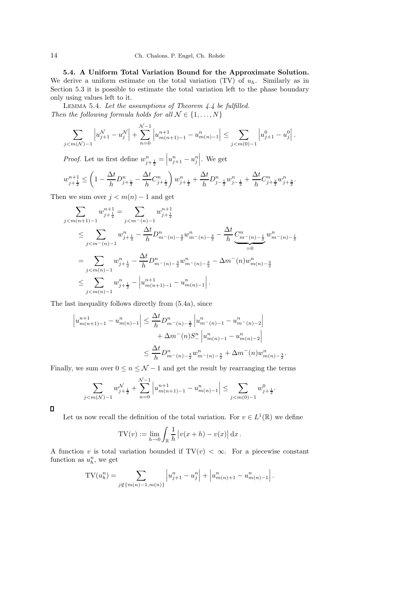5.4. A Uniform Total Variation Bound for the Approximate Solution. We derive a uniform estimate on the total variation (TV) of  $u_h$ . Similarly as in Section 5.3 it is possible to estimate the total variation left to the phase boundary only using values left to it.

Lemma 5.4. *Let the assumptions of Theorem 4.4 be fulfilled. Then the following formula holds for all*  $N \in \{1, ..., N\}$ 

$$
\sum_{j < m(\mathcal{N}) - 1} \left| u_{j+1}^{\mathcal{N}} - u_j^{\mathcal{N}} \right| + \sum_{n=0}^{\mathcal{N}-1} \left| u_{m(n+1)-1}^{n+1} - u_{m(n)-1}^{n} \right| \le \sum_{j < m(0)-1} \left| u_{j+1}^0 - u_j^0 \right|.
$$

*Proof.* Let us first define  $w_{j+\frac{1}{2}}^{n} = |w_{j+1}^{n} - w_{j}^{n}|$ . We get

$$
w_{j+\frac{1}{2}}^{n+1} \leq \left(1 - \frac{\Delta t}{h} D_{j+\frac{1}{2}}^n - \frac{\Delta t}{h} C_{j+\frac{1}{2}}^n\right) w_{j+\frac{1}{2}}^n + \frac{\Delta t}{h} D_{j-\frac{1}{2}}^n w_{j-\frac{1}{2}}^n + \frac{\Delta t}{h} C_{j+\frac{3}{2}}^n w_{j+\frac{3}{2}}^n.
$$

Then we sum over  $j < m(n) - 1$  and get

$$
\sum_{j < m(n+1)-1} w_{j+\frac{1}{2}}^{n+1} = \sum_{j < m^-(n)-1} w_{j+\frac{1}{2}}^{n+1}
$$
\n
$$
\leq \sum_{j < m^-(n)-1} w_{j+\frac{1}{2}}^n - \frac{\Delta t}{h} D_{m^-(n)-\frac{3}{2}}^n w_{m^-(n)-\frac{3}{2}}^n - \frac{\Delta t}{h} \underbrace{C_{m^-(n)-\frac{1}{2}}^n}_{=0} w_{m^-(n)-1}^n
$$
\n
$$
= \sum_{j < m(n)-1} w_{j+\frac{1}{2}}^n - \frac{\Delta t}{h} D_{m^-(n)-\frac{3}{2}}^n w_{m^-(n)-\frac{3}{2}}^n - \Delta m^-(n) w_{m(n)-\frac{3}{2}}^n
$$
\n
$$
\leq \sum_{j < m(n)-1} w_{j+\frac{1}{2}}^n - \left| u_{m(n+1)-1}^{n+1} - u_{m(n)-1}^n \right|.
$$

The last inequality follows directly from (5.4a), since

$$
\left| u_{m(n+1)-1}^{n+1} - u_{m(n)-1}^{n} \right| \leq \frac{\Delta t}{h} D_{m-(n)-\frac{3}{2}}^{n} \left| u_{m-(n)-1}^{n} - u_{m-(n)-2}^{n} \right|
$$
  
 
$$
+ \Delta m^{-}(n) S_{-}^{n} \left| u_{m(n)-1}^{n} - u_{m(n)-2}^{n} \right|
$$
  
 
$$
\leq \frac{\Delta t}{h} D_{m-(n)-\frac{3}{2}}^{n} w_{m-(n)-\frac{3}{2}}^{n} + \Delta m^{-}(n) w_{m(n)-\frac{3}{2}}^{n}
$$

.

Finally, we sum over  $0 \leq n \leq \mathcal{N}-1$  and get the result by rearranging the terms

$$
\sum_{m(N)-1} w_{j+\frac{1}{2}}^{\mathcal{N}} + \sum_{n=0}^{\mathcal{N}-1} \left| u_{m(n+1)-1}^{n+1} - u_{m(n)-1}^{n} \right| \leq \sum_{j
$$

 $\Box$ 

 $\int$ 

Let us now recall the definition of the total variation. For  $v \in L^1(\mathbb{R})$  we define

$$
TV(v) := \lim_{h \to 0} \int_{\mathbb{R}} \frac{1}{h} |v(x+h) - v(x)| dx.
$$

A function v is total variation bounded if  $TV(v) < \infty$ . For a piecewise constant function as  $u_h^n$ , we get

$$
TV(u_h^n) = \sum_{j \notin \{m(n)-1, m(n)\}} \left| u_{j+1}^n - u_j^n \right| + \left| u_{m(n)+1}^n - u_{m(n)-1}^n \right|.
$$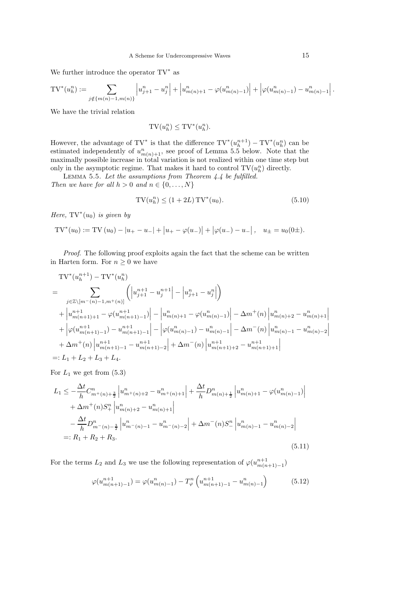We further introduce the operator TV<sup>∗</sup> as

$$
TV^{*}(u_{h}^{n}) := \sum_{j \notin \{m(n)-1, m(n)\}} \left| u_{j+1}^{n} - u_{j}^{n} \right| + \left| u_{m(n)+1}^{n} - \varphi(u_{m(n)-1}^{n}) \right| + \left| \varphi(u_{m(n)-1}^{n}) - u_{m(n)-1}^{n} \right|.
$$

We have the trivial relation

$$
\mathrm{TV}(u_h^n) \leq \mathrm{TV}^*(u_h^n).
$$

However, the advantage of TV<sup>\*</sup> is that the difference  $\text{TV}^*(u_h^{n+1}) - \text{TV}^*(u_h^n)$  can be estimated independently of  $u_{m(n)+1}^n$ , see proof of Lemma 5.5 below. Note that the maximally possible increase in total variation is not realized within one time step but only in the asymptotic regime. That makes it hard to control  $\text{TV}(u_h^n)$  directly.

Lemma 5.5. *Let the assumptions from Theorem 4.4 be fulfilled. Then we have for all*  $h > 0$  *and*  $n \in \{0, \ldots, N\}$ 

$$
TV(u_h^n) \le (1 + 2L) TV^*(u_0).
$$
\n(5.10)

*Here,*  $TV^*(u_0)$  *is given by* 

$$
TV^*(u_0) := TV (u_0) - |u_+ - u_-| + |u_+ - \varphi(u_-)| + |\varphi(u_-) - u_-|, \quad u_{\pm} = u_0(0 \pm).
$$

*Proof*. The following proof exploits again the fact that the scheme can be written in Harten form. For  $n \geq 0$  we have

$$
\begin{split} &\mathrm{TV}^*(u_h^{n+1}) - \mathrm{TV}^*(u_h^n) \\ &= \sum_{j \in \mathbb{Z} \backslash [m^-(n)-1, m^+(n)]} \left( \left| u_{j+1}^{n+1} - u_j^{n+1} \right| - \left| u_{j+1}^{n} - u_j^{n} \right| \right) \\ &+ \left| u_{m(n+1)+1}^{n+1} - \varphi(u_{m(n+1)-1}^{n+1}) \right| - \left| u_{m(n)+1}^{n} - \varphi(u_{m(n)-1}^{n}) \right| - \Delta m^+(n) \left| u_{m(n)+2}^{n} - u_{m(n)+1}^{n} \right| \\ &+ \left| \varphi(u_{m(n+1)-1}^{n+1}) - u_{m(n+1)-1}^{n+1} \right| - \left| \varphi(u_{m(n)-1}^{n}) - u_{m(n)-1}^{n} \right| - \Delta m^-(n) \left| u_{m(n)-1}^{n} - u_{m(n)-2}^{n} \right| \\ &+ \Delta m^+(n) \left| u_{m(n+1)-1}^{n+1} - u_{m(n+1)-2}^{n+1} \right| + \Delta m^-(n) \left| u_{m(n+1)+2}^{n+1} - u_{m(n+1)+1}^{n+1} \right| \\ &=: L_1 + L_2 + L_3 + L_4. \end{split}
$$

For  $L_1$  we get from  $(5.3)$ 

$$
L_1 \leq -\frac{\Delta t}{h} C_{m+(n)+\frac{3}{2}}^n \left| u_{m+(n)+2}^n - u_{m+(n)+1}^n \right| + \frac{\Delta t}{h} D_{m(n)+\frac{1}{2}}^n \left| u_{m(n)+1}^n - \varphi(u_{m(n)-1}^n) \right|
$$
  
+  $\Delta m^+(n) S_+^n \left| u_{m(n)+2}^n - u_{m(n)+1}^n \right|$   
-  $\frac{\Delta t}{h} D_{m-(n)-\frac{3}{2}}^n \left| u_{m-(n)-1}^n - u_{m-(n)-2}^n \right| + \Delta m^-(n) S_-^n \left| u_{m(n)-1}^n - u_{m(n)-2}^n \right|$   
=:  $R_1 + R_2 + R_3.$  (5.11)

For the terms  $L_2$  and  $L_3$  we use the following representation of  $\varphi(u_{m(n+1)-1}^{n+1})$ 

$$
\varphi(u_{m(n+1)-1}^{n+1}) = \varphi(u_{m(n)-1}^n) - T_{\varphi}^n\left(u_{m(n+1)-1}^{n+1} - u_{m(n)-1}^n\right)
$$
(5.12)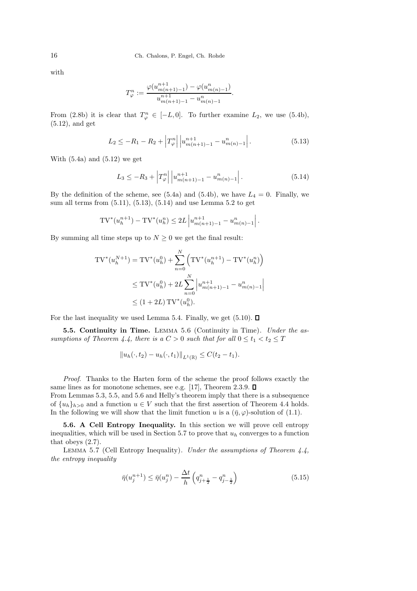with

$$
T_{\varphi}^{n} := \frac{\varphi(u_{m(n+1)-1}^{n+1}) - \varphi(u_{m(n)-1}^{n})}{u_{m(n+1)-1}^{n+1} - u_{m(n)-1}^{n}}
$$

From (2.8b) it is clear that  $T_{\varphi}^n \in [-L, 0]$ . To further examine  $L_2$ , we use (5.4b), (5.12), and get

$$
L_2 \le -R_1 - R_2 + \left| T_{\varphi}^n \right| \left| u_{m(n+1)-1}^{n+1} - u_{m(n)-1}^n \right|.
$$
 (5.13)

.

With  $(5.4a)$  and  $(5.12)$  we get

$$
L_3 \le -R_3 + \left| T_{\varphi}^n \right| \left| u_{m(n+1)-1}^{n+1} - u_{m(n)-1}^n \right|.
$$
 (5.14)

By the definition of the scheme, see (5.4a) and (5.4b), we have  $L_4 = 0$ . Finally, we sum all terms from (5.11), (5.13), (5.14) and use Lemma 5.2 to get

$$
TV^{*}(u_{h}^{n+1}) - TV^{*}(u_{h}^{n}) \le 2L \left| u_{m(n+1)-1}^{n+1} - u_{m(n)-1}^{n} \right|.
$$

By summing all time steps up to  $N \geq 0$  we get the final result:

$$
TV^{*}(u_{h}^{N+1}) = TV^{*}(u_{h}^{0}) + \sum_{n=0}^{N} \left( TV^{*}(u_{h}^{n+1}) - TV^{*}(u_{h}^{n}) \right)
$$
  

$$
\leq TV^{*}(u_{h}^{0}) + 2L \sum_{n=0}^{N} \left| u_{m(n+1)-1}^{n+1} - u_{m(n)-1}^{n} \right|
$$
  

$$
\leq (1 + 2L) TV^{*}(u_{h}^{0}).
$$

For the last inequality we used Lemma 5.4. Finally, we get  $(5.10)$ .  $\Box$ 

5.5. Continuity in Time. Lemma 5.6 (Continuity in Time). *Under the assumptions of Theorem 4.4, there is a*  $C > 0$  *such that for all*  $0 \le t_1 < t_2 \le T$ 

$$
||u_h(\cdot,t_2)-u_h(\cdot,t_1)||_{L^1(\mathbb{R})}\leq C(t_2-t_1).
$$

*Proof*. Thanks to the Harten form of the scheme the proof follows exactly the same lines as for monotone schemes, see e.g. [17], Theorem 2.3.9.  $\square$ 

From Lemmas 5.3, 5.5, and 5.6 and Helly's theorem imply that there is a subsequence of  $\{u_h\}_{h>0}$  and a function  $u \in V$  such that the first assertion of Theorem 4.4 holds. In the following we will show that the limit function u is a  $(\bar{\eta}, \varphi)$ -solution of (1.1).

5.6. A Cell Entropy Inequality. In this section we will prove cell entropy inequalities, which will be used in Section 5.7 to prove that  $u<sub>h</sub>$  converges to a function that obeys (2.7).

Lemma 5.7 (Cell Entropy Inequality). *Under the assumptions of Theorem 4.4, the entropy inequality*

$$
\bar{\eta}(u_j^{n+1}) \le \bar{\eta}(u_j^n) - \frac{\Delta t}{h} \left( q_{j+\frac{1}{2}}^n - q_{j-\frac{1}{2}}^n \right) \tag{5.15}
$$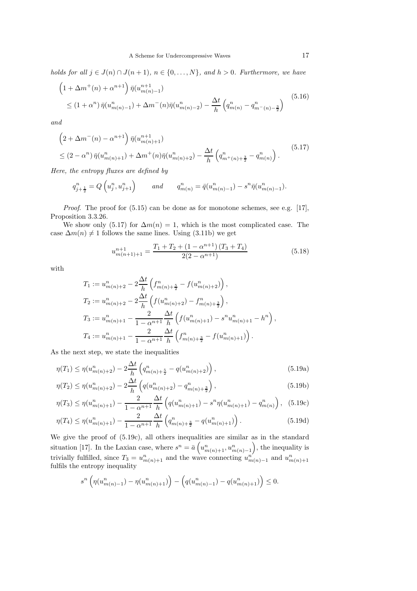*holds for all*  $j \in J(n) \cap J(n+1)$ *,*  $n \in \{0, \ldots, N\}$ *, and*  $h > 0$ *. Furthermore, we have* 

$$
\left(1 + \Delta m^{+}(n) + \alpha^{n+1}\right) \bar{\eta}(u_{m(n)-1}^{n+1})
$$
\n
$$
\leq (1 + \alpha^{n}) \bar{\eta}(u_{m(n)-1}^{n}) + \Delta m^{-}(n) \bar{\eta}(u_{m(n)-2}^{n}) - \frac{\Delta t}{h} \left(q_{m(n)}^{n} - q_{m-(n)-\frac{3}{2}}^{n}\right)
$$
\n(5.16)

*and*

$$
\left(2 + \Delta m^{-}(n) - \alpha^{n+1}\right) \bar{\eta}(u_{m(n)+1}^{n+1})
$$
\n
$$
\leq (2 - \alpha^{n}) \bar{\eta}(u_{m(n)+1}^{n}) + \Delta m^{+}(n) \bar{\eta}(u_{m(n)+2}^{n}) - \frac{\Delta t}{h} \left(q_{m^{+}(n)+\frac{3}{2}}^{n} - q_{m(n)}^{n}\right).
$$
\n(5.17)

*Here, the entropy fluxes are defined by*

$$
q_{j+\frac{1}{2}}^n = Q\left(u_j^n, u_{j+1}^n\right) \qquad \text{and} \qquad q_{m(n)}^n = \bar{q}(u_{m(n)-1}^n) - s^n \bar{\eta}(u_{m(n)-1}^n).
$$

*Proof.* The proof for  $(5.15)$  can be done as for monotone schemes, see e.g. [17], Proposition 3.3.26.

We show only (5.17) for  $\Delta m(n) = 1$ , which is the most complicated case. The case  $\Delta m(n) \neq 1$  follows the same lines. Using (3.11b) we get

$$
u_{m(n+1)+1}^{n+1} = \frac{T_1 + T_2 + (1 - \alpha^{n+1})(T_3 + T_4)}{2(2 - \alpha^{n+1})}
$$
(5.18)

with

$$
T_1 := u_{m(n)+2}^n - 2\frac{\Delta t}{h} \left( f_{m(n)+\frac{5}{2}}^n - f(u_{m(n)+2}^n) \right),
$$
  
\n
$$
T_2 := u_{m(n)+2}^n - 2\frac{\Delta t}{h} \left( f(u_{m(n)+2}^n) - f_{m(n)+\frac{3}{2}}^n \right),
$$
  
\n
$$
T_3 := u_{m(n)+1}^n - \frac{2}{1 - \alpha^{n+1}} \frac{\Delta t}{h} \left( f(u_{m(n)+1}^n) - s^n u_{m(n)+1}^n - h^n \right),
$$
  
\n
$$
T_4 := u_{m(n)+1}^n - \frac{2}{1 - \alpha^{n+1}} \frac{\Delta t}{h} \left( f_{m(n)+\frac{3}{2}}^n - f(u_{m(n)+1}^n) \right).
$$

As the next step, we state the inequalities

∆t

$$
\eta(T_1) \le \eta(u_{m(n)+2}^n) - 2\frac{\Delta t}{h} \left( q_{m(n)+\frac{5}{2}}^n - q(u_{m(n)+2}^n) \right),\tag{5.19a}
$$

$$
\eta(T_2) \le \eta(u_{m(n)+2}^n) - 2\frac{\Delta t}{h} \left( q(u_{m(n)+2}^n) - q_{m(n)+\frac{3}{2}}^n \right),\tag{5.19b}
$$

$$
\eta(T_3) \le \eta(u_{m(n)+1}^n) - \frac{2}{1 - \alpha^{n+1}} \frac{\Delta t}{h} \left( q(u_{m(n)+1}^n) - s^n \eta(u_{m(n)+1}^n) - q_{m(n)}^n \right), \tag{5.19c}
$$

$$
\eta(T_4) \le \eta(u_{m(n)+1}^n) - \frac{2}{1 - \alpha^{n+1}} \frac{\Delta t}{h} \left( q_{m(n)+\frac{3}{2}}^n - q(u_{m(n)+1}^n) \right). \tag{5.19d}
$$

We give the proof of (5.19c), all others inequalities are similar as in the standard situation [17]. In the Laxian case, where  $s^n = \bar{a} \left( u_{m(n)+1}^n, u_{m(n)-1}^n \right)$ , the inequality is trivially fulfilled, since  $T_3 = u_{m(n)+1}^n$  and the wave connecting  $u_{m(n)-1}^n$  and  $u_{m(n)+1}^n$  fulfils the entropy inequality

$$
s^{n}\left(\eta(u_{m(n)-1}^{n})-\eta(u_{m(n)+1}^{n})\right)-\left(q(u_{m(n)-1}^{n})-q(u_{m(n)+1}^{n})\right)\leq 0.
$$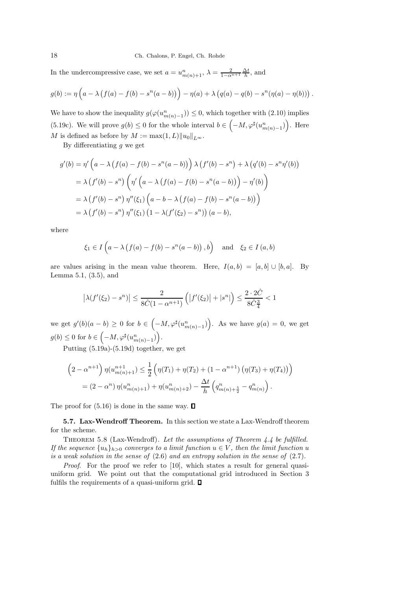#### 18 Ch. Chalons, P. Engel, Ch. Rohde

In the undercompressive case, we set  $a = u_{m(n)+1}^n$ ,  $\lambda = \frac{2}{1 - \alpha^{n+1}} \frac{\Delta t}{h}$ , and

$$
g(b) := \eta \left( a - \lambda \left( f(a) - f(b) - s^{n}(a - b) \right) \right) - \eta(a) + \lambda \left( q(a) - q(b) - s^{n}(\eta(a) - \eta(b)) \right).
$$

We have to show the inequality  $g(\varphi(u_{m(n)-1}^n)) \leq 0$ , which together with  $(2.10)$  implies (5.19c). We will prove  $g(b) \leq 0$  for the whole interval  $b \in \left(-M, \varphi^{\sharp}(u_{m(n)-1}^n)\right)$ . Here M is defined as before by  $M := \max(1, L) ||u_0||_{L^{\infty}}$ .

By differentiating  $q$  we get

$$
g'(b) = \eta' \left( a - \lambda \left( f(a) - f(b) - s^n(a - b) \right) \right) \lambda \left( f'(b) - s^n \right) + \lambda \left( q'(b) - s^n \eta'(b) \right)
$$
  

$$
= \lambda \left( f'(b) - s^n \right) \left( \eta' \left( a - \lambda \left( f(a) - f(b) - s^n(a - b) \right) \right) - \eta'(b) \right)
$$
  

$$
= \lambda \left( f'(b) - s^n \right) \eta''(\xi_1) \left( a - b - \lambda \left( f(a) - f(b) - s^n(a - b) \right) \right)
$$
  

$$
= \lambda \left( f'(b) - s^n \right) \eta''(\xi_1) \left( 1 - \lambda \left( f'(\xi_2) - s^n \right) \right) (a - b),
$$

where

$$
\xi_1 \in I\left(a - \lambda \left(f(a) - f(b) - s^n(a - b)\right), b\right)
$$
 and  $\xi_2 \in I(a, b)$ 

are values arising in the mean value theorem. Here,  $I(a, b) = [a, b] \cup [b, a]$ . By Lemma 5.1, (3.5), and

$$
\left|\lambda(f'(\xi_2) - s^n)\right| \le \frac{2}{8\hat{C}(1 - \alpha^{n+1})} \left(\left|f'(\xi_2)\right| + \left|s^n\right|\right) \le \frac{2 \cdot 2\hat{C}}{8\hat{C}_{\frac{3}{4}}} < 1
$$

we get  $g'(b)(a - b) \ge 0$  for  $b \in \left(-M, \varphi^{\sharp}(u_{m(n)-1}^n)\right)$ . As we have  $g(a) = 0$ , we get  $g(b) \leq 0$  for  $b \in \left(-M, \varphi^{\sharp}(u_{m(n)-1}^n)\right)$ .

Putting (5.19a)-(5.19d) together, we get

$$
\left(2 - \alpha^{n+1}\right) \eta(u_{m(n)+1}^{n+1}) \leq \frac{1}{2} \left(\eta(T_1) + \eta(T_2) + (1 - \alpha^{n+1})\left(\eta(T_3) + \eta(T_4)\right)\right)
$$

$$
= (2 - \alpha^n) \eta(u_{m(n)+1}^n) + \eta(u_{m(n)+2}^n) - \frac{\Delta t}{h} \left(q_{m(n)+\frac{5}{2}}^n - q_{m(n)}^n\right).
$$

The proof for  $(5.16)$  is done in the same way.  $\square$ 

5.7. Lax-Wendroff Theorem. In this section we state a Lax-Wendroff theorem for the scheme.

Theorem 5.8 (Lax-Wendroff). *Let the assumptions of Theorem 4.4 be fulfilled. If the sequence*  $\{u_h\}_{h>0}$  *converges to a limit function*  $u \in V$ *, then the limit function* u *is a weak solution in the sense of* (2.6) *and an entropy solution in the sense of* (2.7)*.*

*Proof.* For the proof we refer to [10], which states a result for general quasiuniform grid. We point out that the computational grid introduced in Section 3 fulfils the requirements of a quasi-uniform grid.  $\Box$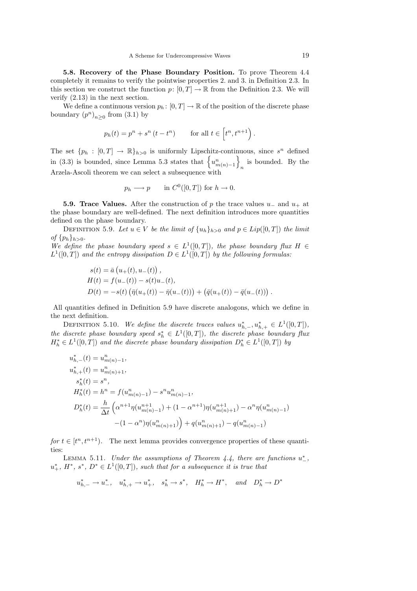5.8. Recovery of the Phase Boundary Position. To prove Theorem 4.4 completely it remains to verify the pointwise properties 2. and 3. in Definition 2.3. In this section we construct the function  $p: [0, T] \to \mathbb{R}$  from the Definition 2.3. We will verify (2.13) in the next section.

We define a continuous version  $p_h: [0, T] \to \mathbb{R}$  of the position of the discrete phase boundary  $(p^n)_{n\geq 0}$  from (3.1) by

$$
p_h(t) = p^n + s^n (t - t^n) \qquad \text{for all } t \in \left[ t^n, t^{n+1} \right).
$$

The set  $\{p_h : [0,T] \to \mathbb{R}\}_{h>0}$  is uniformly Lipschitz-continuous, since  $s^n$  defined in (3.3) is bounded, since Lemma 5.3 states that  $\{u_{m(n)-1}^n\}$  $\sum_{n=1}^{\infty}$  is bounded. By the Arzela-Ascoli theorem we can select a subsequence with

$$
p_h \longrightarrow p
$$
 in  $C^0([0,T])$  for  $h \to 0$ .

**5.9. Trace Values.** After the construction of p the trace values  $u_-\,$  and  $u_+\,$  at the phase boundary are well-defined. The next definition introduces more quantities defined on the phase boundary.

DEFINITION 5.9. Let  $u \in V$  be the limit of  $\{u_h\}_{h>0}$  and  $p \in Lip([0, T])$  the limit *of*  $\{p_h\}_{h>0}$ .

*We define the phase boundary speed*  $s \in L^1([0,T])$ *, the phase boundary flux*  $H \in$  $L^1([0,T])$  and the entropy dissipation  $D \in L^1([0,T])$  by the following formulas:

$$
s(t) = \bar{a} (u_{+}(t), u_{-}(t)),
$$
  
\n
$$
H(t) = f(u_{-}(t)) - s(t)u_{-}(t),
$$
  
\n
$$
D(t) = -s(t) (\bar{\eta}(u_{+}(t)) - \bar{\eta}(u_{-}(t))) + (\bar{q}(u_{+}(t)) - \bar{q}(u_{-}(t))).
$$

All quantities defined in Definition 5.9 have discrete analogons, which we define in the next definition.

DEFINITION 5.10. *We define the discrete traces values*  $u_{h,-}^*, u_{h,+}^* \in L^1([0,T]),$ *the discrete phase boundary speed*  $s_h^* \in L^1([0,T])$ *, the discrete phase boundary flux*  $H_h^* \in L^1([0,T])$  and the discrete phase boundary dissipation  $D_h^* \in L^1([0,T])$  by

$$
u_{h,-}^{*}(t) = u_{m(n)-1}^{n},
$$
  
\n
$$
u_{h,+}^{*}(t) = u_{m(n)+1}^{n},
$$
  
\n
$$
s_{h}^{*}(t) = s^{n},
$$
  
\n
$$
H_{h}^{*}(t) = h^{n} = f(u_{m(n)-1}^{n}) - s^{n}u_{m(n)-1}^{n},
$$
  
\n
$$
D_{h}^{*}(t) = \frac{h}{\Delta t} \left( \alpha^{n+1} \eta(u_{m(n)-1}^{n+1}) + (1 - \alpha^{n+1})\eta(u_{m(n)+1}^{n+1}) - \alpha^{n}\eta(u_{m(n)-1}^{n}) \right)
$$
  
\n
$$
-(1 - \alpha^{n})\eta(u_{m(n)+1}^{n}) + q(u_{m(n)+1}^{n}) - q(u_{m(n)-1}^{n})
$$

*for*  $t \in [t^n, t^{n+1})$ . The next lemma provides convergence properties of these quantities:

LEMMA 5.11. *Under the assumptions of Theorem 4.4, there are functions*  $u^*$ ,  $u^*_+$ ,  $H^*$ ,  $s^*$ ,  $D^* \in L^1([0,T])$ , such that for a subsequence it is true that

$$
u_{h,-}^*\rightharpoonup u_-^*,\quad u_{h,+}^*\rightharpoonup u_+^*,\quad s_h^*\rightharpoonup s^*,\quad H_h^*\rightharpoonup H^*,\quad\text{and}\quad D_h^*\rightharpoonup D^*
$$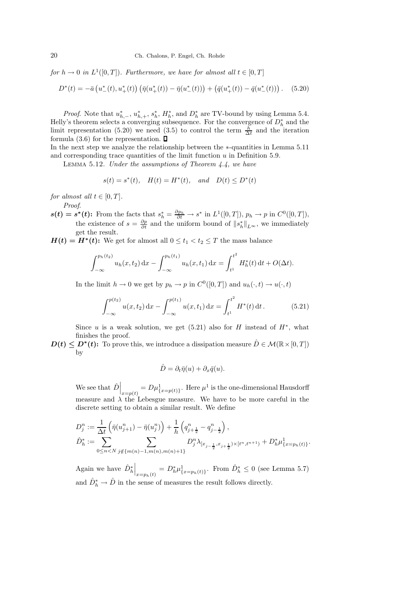$for h \to 0$  in  $L^1([0,T])$ *. Furthermore, we have for almost all*  $t \in [0,T]$ 

$$
D^*(t) = -\bar{a} \left( u_-^*(t), u_+^*(t) \right) \left( \bar{\eta}(u_+^*(t)) - \bar{\eta}(u_-^*(t)) \right) + \left( \bar{q}(u_+^*(t)) - \bar{q}(u_-^*(t)) \right). \tag{5.20}
$$

*Proof.* Note that  $u_{h,-}^*$ ,  $u_{h,+}^*$ ,  $s_h^*$ ,  $H_h^*$ , and  $D_h^*$  are TV-bound by using Lemma 5.4. Helly's theorem selects a converging subsequence. For the convergence of  $D_h^*$  and the limit representation (5.20) we need (3.5) to control the term  $\frac{h}{\Delta t}$  and the iteration formula (3.6) for the representation.  $\Box$ 

In the next step we analyze the relationship between the ∗-quantities in Lemma 5.11 and corresponding trace quantities of the limit function  $u$  in Definition 5.9.

Lemma 5.12. *Under the assumptions of Theorem 4.4, we have*

$$
s(t) = s^*(t)
$$
,  $H(t) = H^*(t)$ , and  $D(t) \le D^*(t)$ 

*for almost all*  $t \in [0, T]$ *.* 

*Proof*.

 $s(t) = s^*(t)$ : From the facts that  $s_h^* = \frac{\partial p_h}{\partial t} \to s^*$  in  $L^1([0,T])$ ,  $p_h \to p$  in  $C^0([0,T])$ , the existence of  $s = \frac{\partial p}{\partial t}$  and the uniform bound of  $||s_h^*||_{L^{\infty}}$ , we immediately get the result.

 $H(t) = H^*(t)$ : We get for almost all  $0 \le t_1 < t_2 \le T$  the mass balance

$$
\int_{-\infty}^{p_h(t_2)} u_h(x, t_2) dx - \int_{-\infty}^{p_h(t_1)} u_h(x, t_1) dx = \int_{t^1}^{t^2} H_h^*(t) dt + O(\Delta t).
$$

In the limit  $h \to 0$  we get by  $p_h \to p$  in  $C^0([0,T])$  and  $u_h(\cdot, t) \to u(\cdot, t)$ 

$$
\int_{-\infty}^{p(t_2)} u(x, t_2) dx - \int_{-\infty}^{p(t_1)} u(x, t_1) dx = \int_{t_1}^{t^2} H^*(t) dt.
$$
 (5.21)

Since u is a weak solution, we get  $(5.21)$  also for H instead of  $H^*$ , what finishes the proof.

 $D(t) \leq D^*(t)$ : To prove this, we introduce a dissipation measure  $\hat{D} \in \mathcal{M}(\mathbb{R} \times [0, T])$ by

$$
\hat{D} = \partial_t \bar{\eta}(u) + \partial_x \bar{q}(u).
$$

We see that  $\hat{D}\Big|_{x=p(t)} = D\mu_{\{x=p(t)\}}^1$ . Here  $\mu^1$  is the one-dimensional Hausdorff measure and  $\lambda$  the Lebesgue measure. We have to be more careful in the discrete setting to obtain a similar result. We define

$$
D_j^n := \frac{1}{\Delta t} \left( \bar{\eta}(u_{j+1}^n) - \bar{\eta}(u_j^n) \right) + \frac{1}{h} \left( q_{j+\frac{1}{2}}^n - q_{j-\frac{1}{2}}^n \right),
$$
  

$$
\hat{D}_h^* := \sum_{0 \le n < N} \sum_{j \notin \{m(n)-1, m(n), m(n)+1\}} D_j^n \lambda_{[x_{j-\frac{1}{2}}, x_{j+\frac{1}{2}}) \times [t^n, t^{n+1})} + D_h^* \mu_{\{x = p_h(t)\}}^1.
$$

Again we have  $\hat{D}_h^* \Big|_{x=p_h(t)} = D_h^* \mu_{\{x=p_h(t)\}}^1$ . From  $\hat{D}_h^* \leq 0$  (see Lemma 5.7) and  $\hat{D}_h^* \to \hat{D}$  in the sense of measures the result follows directly.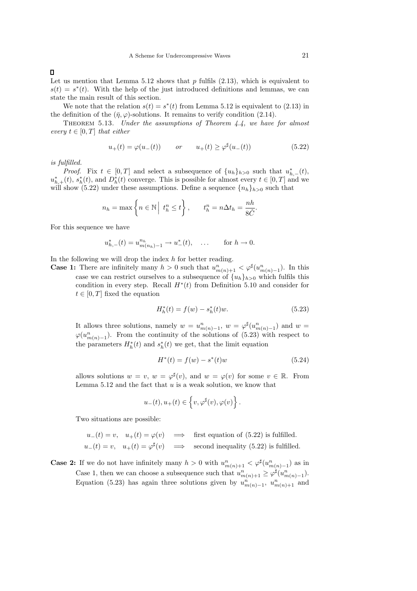Let us mention that Lemma 5.12 shows that  $p$  fulfils  $(2.13)$ , which is equivalent to  $s(t) = s^*(t)$ . With the help of the just introduced definitions and lemmas, we can state the main result of this section.

We note that the relation  $s(t) = s^*(t)$  from Lemma 5.12 is equivalent to (2.13) in the definition of the  $(\bar{\eta}, \varphi)$ -solutions. It remains to verify condition (2.14).

Theorem 5.13. *Under the assumptions of Theorem 4.4, we have for almost every*  $t \in [0, T]$  *that either* 

$$
u_{+}(t) = \varphi(u_{-}(t)) \qquad or \qquad u_{+}(t) \ge \varphi^{\sharp}(u_{-}(t)) \tag{5.22}
$$

*is fulfilled.*

*Proof.* Fix  $t \in [0, T]$  and select a subsequence of  $\{u_h\}_{h>0}$  such that  $u_{h,-}^*(t)$ ,  $u_{h,\pm}^*(t)$ ,  $s_h^*(t)$ , and  $D_h^*(t)$  converge. This is possible for almost every  $t \in [0,T]$  and we will show (5.22) under these assumptions. Define a sequence  ${n_h}_{h>0}$  such that

$$
n_h = \max\left\{n \in \mathbb{N} \mid t_h^n \le t\right\}, \qquad t_h^n = n\Delta t_h = \frac{nh}{8\hat{C}}.
$$

For this sequence we have

$$
u_{h,-}^{*}(t) = u_{m(n_h)-1}^{n_h} \to u_{-}^{*}(t), \quad \dots \quad \text{for } h \to 0.
$$

In the following we will drop the index  $h$  for better reading.

**Case 1:** There are infinitely many  $h > 0$  such that  $u_{m(n)+1}^n < \varphi^\sharp(u_{m(n)-1}^n)$ . In this case we can restrict ourselves to a subsequence of  ${u_h}_{h>0}$  which fulfils this condition in every step. Recall  $H^*(t)$  from Definition 5.10 and consider for  $t \in [0, T]$  fixed the equation

$$
H_h^*(t) = f(w) - s_h^*(t)w.
$$
\n(5.23)

It allows three solutions, namely  $w = u_{m(n)-1}^n$ ,  $w = \varphi^{\sharp}(u_{m(n)-1}^n)$  and  $w =$  $\varphi(u_{m(n)-1}^n)$ . From the continuity of the solutions of (5.23) with respect to the parameters  $H_h^*(t)$  and  $s_h^*(t)$  we get, that the limit equation

$$
H^*(t) = f(w) - s^*(t)w
$$
\n(5.24)

allows solutions  $w = v$ ,  $w = \varphi^{\sharp}(v)$ , and  $w = \varphi(v)$  for some  $v \in \mathbb{R}$ . From Lemma  $5.12$  and the fact that  $u$  is a weak solution, we know that

$$
u_-(t), u_+(t) \in \left\{v, \varphi^\sharp(v), \varphi(v)\right\}.
$$

Two situations are possible:

$$
u_{-}(t) = v, \quad u_{+}(t) = \varphi(v) \quad \Longrightarrow \quad \text{first equation of (5.22) is fulfilled.}
$$
\n
$$
u_{-}(t) = v, \quad u_{+}(t) = \varphi^{\sharp}(v) \quad \Longrightarrow \quad \text{second inequality (5.22) is fulfilled.}
$$

**Case 2:** If we do not have infinitely many  $h > 0$  with  $u_{m(n)+1}^n < \varphi^\sharp(u_{m(n)-1}^n)$  as in Case 1, then we can choose a subsequence such that  $u_{m(n)+1}^n \geq \varphi^{\sharp}(u_{m(n)-1}^n)$ . Equation (5.23) has again three solutions given by  $u_{m(n)-1}^n$ ,  $u_{m(n)+1}^n$  and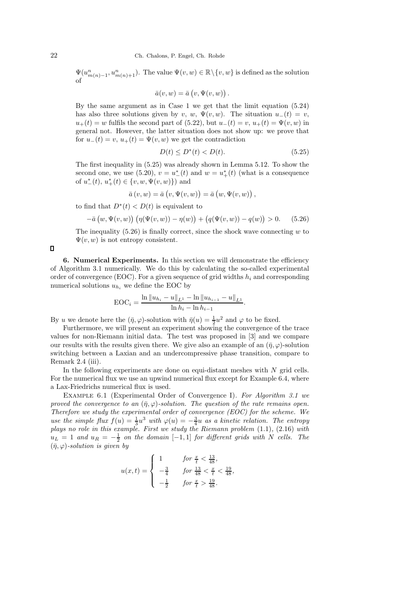$\Psi(u_{m(n)-1}^n, u_{m(n)+1}^n)$ . The value  $\Psi(v, w) \in \mathbb{R} \setminus \{v, w\}$  is defined as the solution of

$$
\bar{a}(v, w) = \bar{a}(v, \Psi(v, w)).
$$

By the same argument as in Case 1 we get that the limit equation (5.24) has also three solutions given by v, w,  $\Psi(v, w)$ . The situation  $u_-(t) = v$ ,  $u_+(t) = w$  fulfils the second part of (5.22), but  $u_-(t) = v$ ,  $u_+(t) = \Psi(v, w)$  in general not. However, the latter situation does not show up: we prove that for  $u_-(t) = v$ ,  $u_+(t) = \Psi(v, w)$  we get the contradiction

$$
D(t) \le D^*(t) < D(t). \tag{5.25}
$$

The first inequality in (5.25) was already shown in Lemma 5.12. To show the second one, we use (5.20),  $v = u^*_{-}(t)$  and  $w = u^*_{+}(t)$  (what is a consequence of  $u_{-}^{*}(t), u_{+}^{*}(t) \in \{v, w, \Psi(v, w)\})$  and

$$
\bar{a}(v, w) = \bar{a}(v, \Psi(v, w)) = \bar{a}(w, \Psi(v, w)),
$$

to find that  $D^*(t) < D(t)$  is equivalent to

$$
-\bar{a}(w, \Psi(v, w)) (\eta(\Psi(v, w)) - \eta(w)) + (q(\Psi(v, w)) - q(w)) > 0.
$$
 (5.26)

The inequality  $(5.26)$  is finally correct, since the shock wave connecting w to  $\Psi(v, w)$  is not entropy consistent.

 $\Box$ 

6. Numerical Experiments. In this section we will demonstrate the efficiency of Algorithm 3.1 numerically. We do this by calculating the so-called experimental order of convergence (EOC). For a given sequence of grid widths  $h_i$  and corresponding numerical solutions  $u_{h_i}$  we define the EOC by

$$
EOC_i = \frac{\ln \|u_{h_i} - u\|_{L^1} - \ln \|u_{h_{i-1}} - u\|_{L^1}}{\ln h_i - \ln h_{i-1}}.
$$

By u we denote here the  $(\bar{\eta}, \varphi)$ -solution with  $\bar{\eta}(u) = \frac{1}{2}u^2$  and  $\varphi$  to be fixed.

Furthermore, we will present an experiment showing the convergence of the trace values for non-Riemann initial data. The test was proposed in [3] and we compare our results with the results given there. We give also an example of an  $(\bar{\eta}, \varphi)$ -solution switching between a Laxian and an undercompressive phase transition, compare to Remark 2.4 (iii).

In the following experiments are done on equi-distant meshes with  $N$  grid cells. For the numerical flux we use an upwind numerical flux except for Example 6.4, where a Lax-Friedrichs numerical flux is used.

Example 6.1 (Experimental Order of Convergence I). *For Algorithm 3.1 we proved the convergence to an*  $(\bar{\eta}, \varphi)$ *-solution. The question of the rate remains open. Therefore we study the experimental order of convergence (EOC) for the scheme. We use the simple flux*  $f(u) = \frac{1}{3}u^3$  *with*  $\varphi(u) = -\frac{3}{4}u$  *as a kinetic relation. The entropy plays no role in this example. First we study the Riemann problem* (1.1)*,* (2.16) *with*  $u_L = 1$  and  $u_R = -\frac{1}{2}$  on the domain  $[-1, 1]$  for different grids with N cells. The  $(\bar{\eta}, \varphi)$ -solution is given by

$$
u(x,t) = \begin{cases} 1 & \text{for } \frac{x}{t} < \frac{13}{48}, \\ -\frac{3}{4} & \text{for } \frac{13}{48} < \frac{x}{t} < \frac{19}{48}, \\ -\frac{1}{2} & \text{for } \frac{x}{t} > \frac{19}{48}. \end{cases}
$$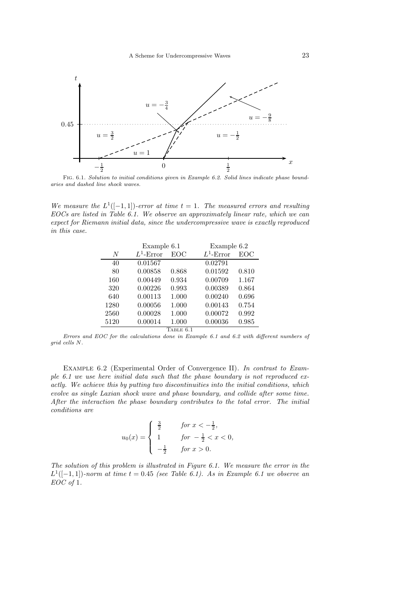

Fig. 6.1. *Solution to initial conditions given in Example 6.2. Solid lines indicate phase boundaries and dashed line shock waves.*

We measure the  $L^1([-1,1])$ -error at time  $t = 1$ . The measured errors and resulting *EOCs are listed in Table 6.1. We observe an approximately linear rate, which we can expect for Riemann initial data, since the undercompressive wave is exactly reproduced in this case.*

|      | Example 6.1  |           | Example 6.2  |            |
|------|--------------|-----------|--------------|------------|
| N    | $L^1$ -Error | EOC       | $L^1$ -Error | <b>EOC</b> |
| 40   | 0.01567      |           | 0.02791      |            |
| 80   | 0.00858      | 0.868     | 0.01592      | 0.810      |
| 160  | 0.00449      | 0.934     | 0.00709      | 1.167      |
| 320  | 0.00226      | 0.993     | 0.00389      | 0.864      |
| 640  | 0.00113      | 1.000     | 0.00240      | 0.696      |
| 1280 | 0.00056      | 1.000     | 0.00143      | 0.754      |
| 2560 | 0.00028      | 1.000     | 0.00072      | 0.992      |
| 5120 | 0.00014      | 1.000     | 0.00036      | 0.985      |
|      |              | TABLE 6.1 |              |            |

*Errors and EOC for the calculations done in Example 6.1 and 6.2 with different numbers of grid cells* N*.*

Example 6.2 (Experimental Order of Convergence II). *In contrast to Example 6.1 we use here initial data such that the phase boundary is not reproduced exactly. We achieve this by putting two discontinuities into the initial conditions, which evolve as single Laxian shock wave and phase boundary, and collide after some time. After the interaction the phase boundary contributes to the total error. The initial conditions are*

$$
u_0(x) = \begin{cases} \frac{3}{2} & \text{for } x < -\frac{1}{2}, \\ 1 & \text{for } -\frac{1}{2} < x < 0, \\ -\frac{1}{2} & \text{for } x > 0. \end{cases}
$$

*The solution of this problem is illustrated in Figure 6.1. We measure the error in the*  $L^1([-1, 1])$ *-norm at time*  $t = 0.45$  *(see Table 6.1). As in Example 6.1 we observe an EOC of* 1*.*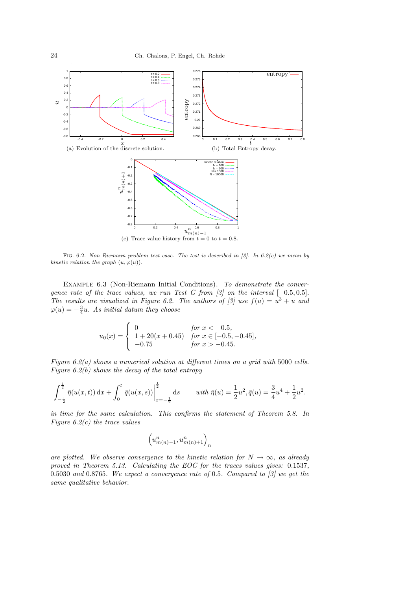

Fig. 6.2. *Non Riemann problem test case. The test is described in [3]. In 6.2(c) we mean by kinetic relation the graph*  $(u, \varphi(u))$ *.* 

Example 6.3 (Non-Riemann Initial Conditions). *To demonstrate the convergence rate of the trace values, we run Test G from [3] on the interval* [−0.5,0.5]. *The results are visualized in Figure 6.2. The authors of [3] use*  $f(u) = u^3 + u$  and  $\varphi(u) = -\frac{3}{4}u$ . As initial datum they choose

$$
u_0(x) = \begin{cases} 0 & \text{for } x < -0.5, \\ 1 + 20(x + 0.45) & \text{for } x \in [-0.5, -0.45], \\ -0.75 & \text{for } x > -0.45. \end{cases}
$$

*Figure 6.2(a) shows a numerical solution at different times on a grid with* 5000 *cells. Figure 6.2(b) shows the decay of the total entropy*

$$
\int_{-\frac{1}{2}}^{\frac{1}{2}} \bar{\eta}(u(x,t)) dx + \int_{0}^{t} \bar{q}(u(x,s)) \Big|_{x=-\frac{1}{2}}^{\frac{1}{2}} ds \qquad with \ \bar{\eta}(u) = \frac{1}{2}u^2, \bar{q}(u) = \frac{3}{4}u^4 + \frac{1}{2}u^2.
$$

*in time for the same calculation. This confirms the statement of Theorem 5.8. In Figure 6.2(c) the trace values*

$$
\left(u_{m(n)-1}^n,u_{m(n)+1}^n\right)_n
$$

*are plotted. We observe convergence to the kinetic relation for*  $N \to \infty$ *, as already proved in Theorem 5.13. Calculating the EOC for the traces values gives:* 0.1537*,* 0.5030 *and* 0.8765*. We expect a convergence rate of* 0.5*. Compared to [3] we get the same qualitative behavior.*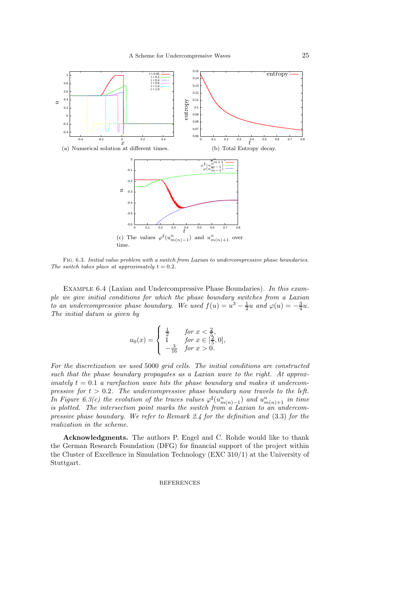

Fig. 6.3. *Initial value problem with a switch from Laxian to undercompressive phase boundaries. The switch takes place at approximately*  $t = 0.2$ *.* 

Example 6.4 (Laxian and Undercompressive Phase Boundaries). *In this example we give initial conditions for which the phase boundary switches from a Laxian to an undercompressive phase boundary. We used*  $f(u) = u^3 - \frac{1}{2}u$  and  $\varphi(u) = -\frac{3}{4}u$ . *The initial datum is given by*

$$
u_0(x) = \begin{cases} \frac{1}{2} & \text{for } x < \frac{2}{5}, \\ 1 & \text{for } x \in [\frac{2}{5}, 0], \\ -\frac{3}{16} & \text{for } x > 0. \end{cases}
$$

*For the discretization we used* 5000 *grid cells. The initial conditions are constructed such that the phase boundary propagates as a Laxian wave to the right. At approximately*  $t = 0.1$  *a rarefaction wave hits the phase boundary and makes it undercompressive for*  $t > 0.2$ *. The undercompressive phase boundary now travels to the left. In Figure 6.3(c) the evolution of the traces values*  $\varphi^{\sharp}(u_{m(n)-1}^n)$  *and*  $u_{m(n)+1}^n$  *in time is plotted. The intersection point marks the switch from a Laxian to an undercompressive phase boundary. We refer to Remark 2.4 for the definition and* (3.3) *for the realization in the scheme.*

Acknowledgments. The authors P. Engel and C. Rohde would like to thank the German Research Foundation (DFG) for financial support of the project within the Cluster of Excellence in Simulation Technology (EXC 310/1) at the University of Stuttgart.

## REFERENCES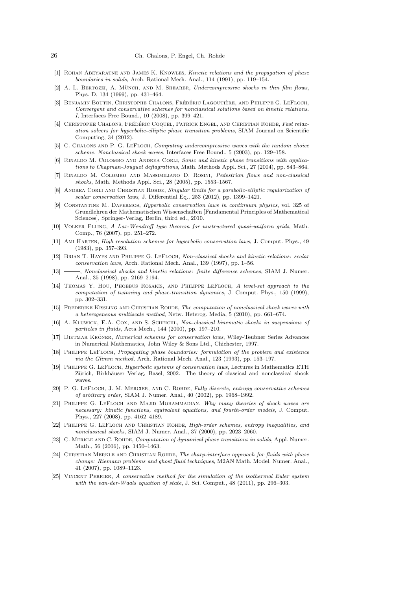- [1] Rohan Abeyaratne and James K. Knowles, *Kinetic relations and the propagation of phase boundaries in solids*, Arch. Rational Mech. Anal., 114 (1991), pp. 119–154.
- [2] A. L. BERTOZZI, A. MÜNCH, AND M. SHEARER, *Undercompressive shocks in thin film flows*, Phys. D, 134 (1999), pp. 431–464.
- [3] BENJAMIN BOUTIN, CHRISTOPHE CHALONS, FRÉDÉRIC LAGOUTIÈRE, AND PHILIPPE G. LEFLOCH, *Convergent and conservative schemes for nonclassical solutions based on kinetic relations. I*, Interfaces Free Bound., 10 (2008), pp. 399–421.
- <sup>[4]</sup> CHRISTOPHE CHALONS, FRÉDÉRIC COQUEL, PATRICK ENGEL, AND CHRISTIAN ROHDE, *Fast relaxation solvers for hyperbolic-elliptic phase transition problems*, SIAM Journal on Scientific Computing, 34 (2012).
- [5] C. Chalons and P. G. LeFloch, *Computing undercompressive waves with the random choice scheme. Nonclassical shock waves*, Interfaces Free Bound., 5 (2003), pp. 129–158.
- [6] RINALDO M. COLOMBO AND ANDREA CORLI, Sonic and kinetic phase transitions with applica*tions to Chapman-Jouguet deflagrations*, Math. Methods Appl. Sci., 27 (2004), pp. 843–864.
- [7] Rinaldo M. Colombo and Massimiliano D. Rosini, *Pedestrian flows and non-classical shocks*, Math. Methods Appl. Sci., 28 (2005), pp. 1553–1567.
- [8] ANDREA CORLI AND CHRISTIAN ROHDE, *Singular limits for a parabolic-elliptic regularization of scalar conservation laws*, J. Differential Eq., 253 (2012), pp. 1399–1421.
- [9] Constantine M. Dafermos, *Hyperbolic conservation laws in continuum physics*, vol. 325 of Grundlehren der Mathematischen Wissenschaften [Fundamental Principles of Mathematical Sciences], Springer-Verlag, Berlin, third ed., 2010.
- [10] Volker Elling, *A Lax-Wendroff type theorem for unstructured quasi-uniform grids*, Math. Comp., 76 (2007), pp. 251–272.
- [11] Ami Harten, *High resolution schemes for hyperbolic conservation laws*, J. Comput. Phys., 49 (1983), pp. 357–393.
- [12] Brian T. Hayes and Philippe G. LeFloch, *Non-classical shocks and kinetic relations: scalar conservation laws*, Arch. Rational Mech. Anal., 139 (1997), pp. 1–56.
- [13] , *Nonclassical shocks and kinetic relations: finite difference schemes*, SIAM J. Numer. Anal., 35 (1998), pp. 2169–2194.
- [14] Thomas Y. Hou, Phoebus Rosakis, and Philippe LeFloch, *A level-set approach to the computation of twinning and phase-transition dynamics*, J. Comput. Phys., 150 (1999), pp. 302–331.
- [15] Frederike Kissling and Christian Rohde, *The computation of nonclassical shock waves with a heterogeneous multiscale method*, Netw. Heterog. Media, 5 (2010), pp. 661–674.
- [16] A. Kluwick, E.A. Cox, and S. Scheichl, *Non-classical kinematic shocks in suspensions of particles in fluids*, Acta Mech., 144 (2000), pp. 197–210.
- [17] DIETMAR KRÖNER, *Numerical schemes for conservation laws*, Wiley-Teubner Series Advances in Numerical Mathematics, John Wiley & Sons Ltd., Chichester, 1997.
- [18] Philippe LeFloch, *Propagating phase boundaries: formulation of the problem and existence via the Glimm method*, Arch. Rational Mech. Anal., 123 (1993), pp. 153–197.
- [19] Philippe G. LeFloch, *Hyperbolic systems of conservation laws*, Lectures in Mathematics ETH Zürich, Birkhäuser Verlag, Basel, 2002. The theory of classical and nonclassical shock waves.
- [20] P. G. LeFloch, J. M. Mercier, and C. Rohde, *Fully discrete, entropy conservative schemes of arbitrary order*, SIAM J. Numer. Anal., 40 (2002), pp. 1968–1992.
- [21] Philippe G. LeFloch and Majid Mohammadian, *Why many theories of shock waves are necessary: kinetic functions, equivalent equations, and fourth-order models*, J. Comput. Phys., 227 (2008), pp. 4162–4189.
- [22] Philippe G. LeFloch and Christian Rohde, *High-order schemes, entropy inequalities, and nonclassical shocks*, SIAM J. Numer. Anal., 37 (2000), pp. 2023–2060.
- [23] C. Merkle and C. Rohde, *Computation of dynamical phase transitions in solids*, Appl. Numer. Math., 56 (2006), pp. 1450–1463.
- [24] Christian Merkle and Christian Rohde, *The sharp-interface approach for fluids with phase change: Riemann problems and ghost fluid techniques*, M2AN Math. Model. Numer. Anal., 41 (2007), pp. 1089–1123.
- [25] Vincent Perrier, *A conservative method for the simulation of the isothermal Euler system with the van-der-Waals equation of state*, J. Sci. Comput., 48 (2011), pp. 296–303.